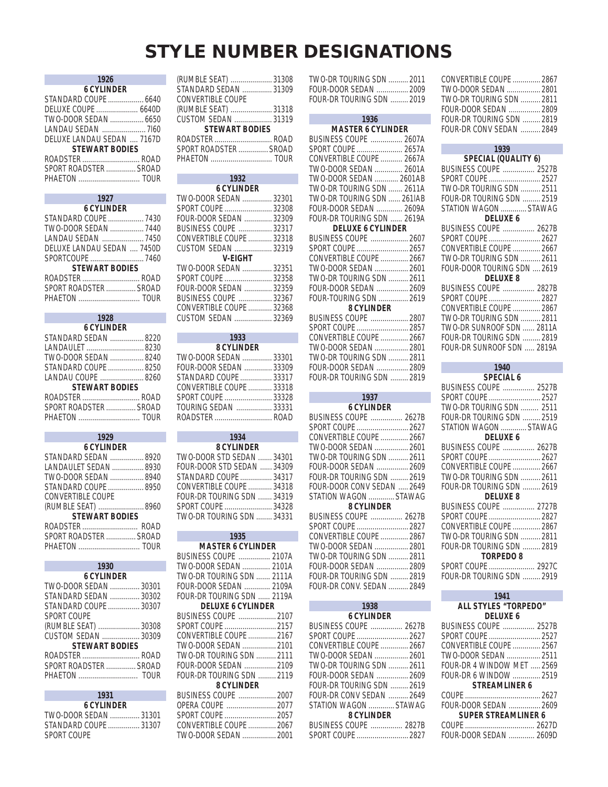# **STYLE NUMBER DESIGNATIONS**

|                       | 1926                       |  |
|-----------------------|----------------------------|--|
|                       | <b>6 CYLINDER</b>          |  |
|                       |                            |  |
|                       |                            |  |
|                       |                            |  |
|                       | LANDAU SEDAN  7160         |  |
|                       | DELUXE LANDAU SEDAN  7167D |  |
| <b>STEWART BODIES</b> |                            |  |
|                       | ROADSTER  ROAD             |  |
|                       | SPORT ROADSTER  SROAD      |  |
|                       | PHAETON  TOUR              |  |

| 1927                       |  |  |
|----------------------------|--|--|
| <b>6 CYLINDER</b>          |  |  |
| STANDARD COUPE  7430       |  |  |
| TWO-DOOR SEDAN  7440       |  |  |
| LANDAU SEDAN  7450         |  |  |
| DELUXE LANDAU SEDAN  7450D |  |  |
|                            |  |  |
| <b>STEWART BODIES</b>      |  |  |
| ROADSTER  ROAD             |  |  |
| SPORT ROADSTER  SROAD      |  |  |
|                            |  |  |
|                            |  |  |

### **1928**

| <b>6 CYLINDER</b>     |  |
|-----------------------|--|
| STANDARD SEDAN  8220  |  |
|                       |  |
| TWO-DOOR SEDAN  8240  |  |
| STANDARD COUPE  8250  |  |
| LANDAU COUPE  8260    |  |
| <b>STEWART BODIES</b> |  |
| ROADSTER  ROAD        |  |
| SPORT ROADSTER  SROAD |  |
|                       |  |
|                       |  |

|                       | 1929                  |  |
|-----------------------|-----------------------|--|
|                       | <b>6 CYLINDER</b>     |  |
|                       | STANDARD SEDAN  8920  |  |
|                       | LANDAULET SEDAN  8930 |  |
|                       | TWO-DOOR SEDAN  8940  |  |
|                       | STANDARD COUPE  8950  |  |
|                       | CONVERTIBLE COUPE     |  |
|                       | (RUMBLE SEAT)  8960   |  |
| <b>STEWART BODIES</b> |                       |  |
|                       | ROADSTER  ROAD        |  |
|                       | SPORT ROADSTER  SROAD |  |
|                       | PHAETON  TOUR         |  |
|                       |                       |  |

| 1930                  |  |  |
|-----------------------|--|--|
| <b>6 CYLINDER</b>     |  |  |
| TWO-DOOR SEDAN  30301 |  |  |
| STANDARD SEDAN  30302 |  |  |
| STANDARD COUPE  30307 |  |  |
| SPORT COUPF           |  |  |
| (RUMBLE SEAT)  30308  |  |  |
| CUSTOM SEDAN 30309    |  |  |
| <b>STEWART BODIES</b> |  |  |
| ROADSTER  ROAD        |  |  |
| SPORT ROADSTER  SROAD |  |  |
|                       |  |  |
|                       |  |  |

| TWO-DOOR SEDAN  31301 |
|-----------------------|
| STANDARD COUPE  31307 |
|                       |
|                       |

**1931**

| (RUMBLE SEAT)  31308<br>STANDARD SEDAN  31309<br>CONVERTIBLE COUPE |  |  |
|--------------------------------------------------------------------|--|--|
| (RUMBLE SEAT)  31318<br>CUSTOM SEDAN  31319                        |  |  |
| <b>STEWART BODIES</b>                                              |  |  |
| ROADSTER  ROAD                                                     |  |  |
| SPORT ROADSTER  SROAD                                              |  |  |
|                                                                    |  |  |

| 1932                     |  |
|--------------------------|--|
| <b>6 CYLINDER</b>        |  |
| TWO-DOOR SEDAN  32301    |  |
| SPORT COUPE  32308       |  |
| FOUR-DOOR SEDAN  32309   |  |
| BUSINESS COUPE  32317    |  |
| CONVERTIBLE COUPE  32318 |  |
| CUSTOM SEDAN  32319      |  |
| V-FIGHT                  |  |
| TWO-DOOR SEDAN  32351    |  |
| SPORT COUPE  32358       |  |
|                          |  |
| BUSINESS COUPE  32367    |  |
| CONVERTIBLE COUPE  32368 |  |
| CUSTOM SEDAN  32369      |  |
|                          |  |

| 1933<br><b>STATE OF STATE OF STATE OF STATE OF STATE OF STATE OF STATE OF STATE OF STATE OF STATE OF STATE OF STATE OF S</b> |  |
|------------------------------------------------------------------------------------------------------------------------------|--|
| <b>8 CYLINDER</b>                                                                                                            |  |
| TWO-DOOR SEDAN  33301                                                                                                        |  |
| FOUR-DOOR SEDAN  33309                                                                                                       |  |
| STANDARD COUPE  33317                                                                                                        |  |
| CONVERTIBLE COUPE  33318                                                                                                     |  |
| SPORT COUPE  33328                                                                                                           |  |
| TOURING SEDAN  33331                                                                                                         |  |
| ROADSTER  ROAD                                                                                                               |  |
|                                                                                                                              |  |

| <b>8 CYLINDER</b>          |  |
|----------------------------|--|
| TWO-DOOR STD SEDAN  34301  |  |
| FOUR-DOOR STD SEDAN  34309 |  |
| STANDARD COUPE  34317      |  |
| CONVERTIBLE COUPE  34318   |  |
| FOUR-DR TOURING SDN  34319 |  |
| SPORT COUPE  34328         |  |
| TWO-DR TOURING SDN  34331  |  |
|                            |  |

**1934**

#### **1935 MASTER 6 CYLINDER** BUSINESS COUPE ................ 2107A TWO-DOOR SEDAN .............. 2101A TWO-DR TOURlNG SDN ....... 2111A FOUR-DOOR SEDAN ............. 2109A FOUR-DR TOURING SDN ...... 2119A **DELUXE 6 CYLINDER** BUSINESS COUPE ................... 2107 SPORT COUPE .......................... 2157 CONVERTIBLE COUPE .............. 2167 TWO-DOOR SEDAN ................. 2101 TWO-DR TOURING SDN .......... 2111 FOUR-DOOR SEDAN ................ 2109 FOUR-DR TOURING SDN ......... 2119 **8 CYLINDER** BUSINESS COUPE ................... 2007 OPERA COUPE ......................... 2077 SPORT COUPE .......................... 2057 CONVERTIBLE COUPE .............. 2067 TWO-DOOR SEDAN ................. 2001

| TWO-DR TOURING SDN  2011  |  |
|---------------------------|--|
|                           |  |
| FOUR-DR TOURING SDN  2019 |  |

| 1936                       |  |  |
|----------------------------|--|--|
| <b>MASTER 6 CYLINDER</b>   |  |  |
| BUSINESS COUPE  2607A      |  |  |
| SPORT COUPE  2657A         |  |  |
| CONVERTIBLE COUPE  2667A   |  |  |
| TWO-DOOR SEDAN  2601A      |  |  |
| TWO-DOOR SEDAN  2601AB     |  |  |
| TWO-DR TOURING SDN  2611A  |  |  |
| TWO-DR TOURING SDN  261IAB |  |  |
| FOUR-DOOR SEDAN  2609A     |  |  |
| FOUR-DR TOURING SDN  2619A |  |  |
| <b>DELUXE 6 CYLINDER</b>   |  |  |
| BUSINESS COUPE  2607       |  |  |
| SPORT COUPE  2657          |  |  |
| CONVERTIBLE COUPE  2667    |  |  |
| TWO-DOOR SEDAN  2601       |  |  |
| TWO-DR TOURING SDN  2611   |  |  |
| FOUR-DOOR SEDAN  2609      |  |  |
| FOUR-TOURING SDN  2619     |  |  |
| 8 CYLINDER                 |  |  |
| BUSINESS COUPE  2807       |  |  |
|                            |  |  |
| CONVERTIBLE COUPE  2667    |  |  |
| TWO-DOOR SEDAN  2801       |  |  |
| TWO-DR TOURING SDN  2811   |  |  |
| FOLIR-DOOR SEDAN  2809     |  |  |
| FOUR-DR TOURING SDN  2819  |  |  |
|                            |  |  |

### **1937**

| <b>6 CYLINDER</b>          |
|----------------------------|
| BUSINESS COUPE  2627B      |
| SPORT COUPE  2627          |
| CONVERTIBLE COUPE  2667    |
| TWO-DOOR SEDAN  2601       |
| TWO-DR TOURING SDN  2611   |
| FOUR-DOOR SEDAN  2609      |
| FOUR-DR TOURING SDN  2619  |
| FOUR-DOOR CONV SEDAN  2649 |
| STATION WAGON  STAWAG      |
| <b>8 CYLINDER</b>          |
| BUSINESS COUPE  2627B      |
| SPORT COUPE  2827          |
| CONVERTIBLE COUPE  2867    |
| TWO-DOOR SEDAN  2801       |
| TWO-DR TOURING SDN  2811   |
| FOUR-DOOR SEDAN  2809      |
| FOUR-DR TOURING SDN  2819  |
| FOUR-DR CONV. SEDAN  2849  |
|                            |

| 1938                      |  |
|---------------------------|--|
| <b>6 CYLINDER</b>         |  |
| BUSINESS COUPE  2627B     |  |
| SPORT COUPE  2627         |  |
| CONVERTIBLE COUPE  2667   |  |
| TWO-DOOR SEDAN  2601      |  |
| TWO-DR TOURING SDN  2611  |  |
| FOUR-DOOR SEDAN  2609     |  |
| FOUR-DR TOURING SDN  2619 |  |
| FOUR-DR CONV SEDAN  2649  |  |
| STATION WAGON  STAWAG     |  |
| <b>8 CYLINDER</b>         |  |
| BUSINESS COUPE  2827B     |  |
| SPORT COUPE  2827         |  |

| CONVERTIBLE COUPE  2867   |  |
|---------------------------|--|
| TWO-DOOR SEDAN  2801      |  |
| TWO-DR TOURING SDN  2811  |  |
| FOUR-DOOR SEDAN  2809     |  |
| FOUR-DR TOURING SDN  2819 |  |
| FOUR-DR CONV SEDAN  2849  |  |
|                           |  |

#### **1939 SPECIAL (QUALITY 6)**

### **1940 SPECIAL 6** BUSINESS COUPE ................ 2527B SPORT COUPE .......................... 2527 TWO-DR TOURING SDN ......... 2511 FOUR-DR TOURING SDN ......... 2519 STATION WAGON ............. STAWAG **DELUXE 6** BUSINESS COUPE ................ 2627B SPORT COUPE .......................... 2627 CONVERTlBLE COUPE .............. 2667 TWO-DR TOURING SDN .......... 2611 FOUR-DR TOURING SDN ......... 2619 **DELUXE 8** BUSINESS COUPE ................ 2727B SPORT COUPE .......................... 2827 CONVERTIBLE COUPE .............. 2867 TWO-DR TOURING SDN .......... 2811 FOUR-DR TOURING SDN ......... 2819 **TORPEDO 8** SPORT COUPE ....................... 2927C FOUR-DR TOURING SDN ......... 2919 **1941 1941**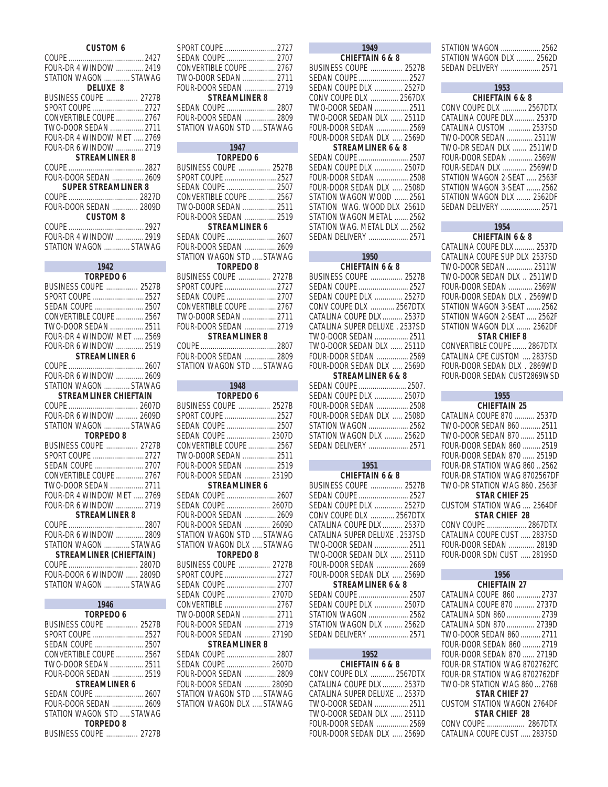| <b>CUSTOM 6</b><br>FOUR-DR 4 WINDOW  2419<br>STATION WAGON  STAWAG                                                                                                                                                                                                                                                                                                                                                                                                                                                                                                                |
|-----------------------------------------------------------------------------------------------------------------------------------------------------------------------------------------------------------------------------------------------------------------------------------------------------------------------------------------------------------------------------------------------------------------------------------------------------------------------------------------------------------------------------------------------------------------------------------|
| <b>DELUXE 8</b><br><b>BUSINESS COUPE  2727B</b><br>SPORT COUPE  2727<br>CONVERTIBLE COUPE  2767<br>TWO-DOOR SEDAN  2711<br>FOUR-DR 4 WINDOW MET  2769<br>FOUR-DR 6 WINDOW  2719<br><b>STREAMLINER 8</b>                                                                                                                                                                                                                                                                                                                                                                           |
| FOUR-DOOR SEDAN  2609<br><b>SUPER STREAMLINER 8</b>                                                                                                                                                                                                                                                                                                                                                                                                                                                                                                                               |
| FOUR-DOOR SEDAN  2809D<br><b>CUSTOM 8</b>                                                                                                                                                                                                                                                                                                                                                                                                                                                                                                                                         |
| FOUR-DR 4 WINDOW  2919<br>STATION WAGON  STAWAG                                                                                                                                                                                                                                                                                                                                                                                                                                                                                                                                   |
| 1942<br>TORPEDO 6                                                                                                                                                                                                                                                                                                                                                                                                                                                                                                                                                                 |
| <b>BUSINESS COUPE  2527B</b><br>SPORT COUPE  2527<br>SEDAN COUPE  2507<br>CONVERTIBLE COUPE  2567<br>TWO-DOOR SEDAN  2511<br>FOUR-DR 4 WINDOW MET  2569<br>FOUR-DR 6 WINDOW  2519<br><b>STREAMLINER 6</b><br>FOUR-DR 6 WINDOW  2609<br>STATION WAGON  STAWAG<br><b>STREAMLINER CHIEFTAIN</b><br>FOUR-DR 6 WINDOW  2609D<br>STATION WAGON  STAWAG<br><b>TORPEDO 8</b><br><b>BUSINESS COUPE  2727B</b><br>SPORT COUPE  2727<br>SEDAN COUPE  2707<br>CONVERTIBLE COUPE  2767<br>TWO-DOOR SEDAN  2711<br>FOUR-DR 4 WINDOW MET  2769<br>FOUR-DR 6 WINDOW  2719<br><b>STREAMLINER 8</b> |
| FOUR-DR 6 WINDOW  2809<br>STATION WAGON  STAWAG<br><b>STREAMLINER (CHIEFTAIN)</b><br>FOUR-DOOR 6 WINDOW  2809D<br>STATION WAGON  STAWAG                                                                                                                                                                                                                                                                                                                                                                                                                                           |
| 1946<br><b>TORPEDO 6</b><br>BUSINESS COUPE  2527B<br>SPORT COUPE  2527<br>SEDAN COUPE  2507<br>CONVERTIBLE COUPE  2567<br>TWO-DOOR SEDAN  2511<br>FOUR-DOOR SEDAN  2519<br><b>STREAMLINER 6</b>                                                                                                                                                                                                                                                                                                                                                                                   |

| FOUR-DOOR SEDAN  2609     |      |  |
|---------------------------|------|--|
| STATION WAGON STD  STAWAG |      |  |
| TORPEDO 8                 |      |  |
| DUCINIECO COUDE           | 2727 |  |

| TURPEDU 8                    |  |  |
|------------------------------|--|--|
| <b>BUSINESS COUPE  2727B</b> |  |  |

| CONVERTIBLE COUPE  2767   |  |
|---------------------------|--|
| TWO-DOOR SEDAN  2711      |  |
| FOUR-DOOR SEDAN  2719     |  |
| <b>STREAMLINER 8</b>      |  |
| SEDAN COUPE  2807         |  |
| FOUR-DOOR SEDAN  2809     |  |
| STATION WAGON STD  STAWAG |  |

| 1947                      |  |  |
|---------------------------|--|--|
| <b>TORPEDO 6</b>          |  |  |
| BUSINESS COUPE  2527B     |  |  |
| SPORT COUPE  2527         |  |  |
| SEDAN COUPE  2507         |  |  |
| CONVERTIBLE COUPE  2567   |  |  |
| TWO-DOOR SEDAN  2511      |  |  |
| FOUR-DOOR SEDAN  2519     |  |  |
| STREAMLINER 6             |  |  |
| SEDAN COUPE  2607         |  |  |
| FOUR-DOOR SEDAN  2609     |  |  |
| STATION WAGON STD  STAWAG |  |  |
| <b>TORPEDO 8</b>          |  |  |
| BUSINESS COUPE  2727B     |  |  |
| SPORT COUPE  2727         |  |  |
| SEDAN COUPE  2707         |  |  |
| CONVERTIBLE COUPE  2767   |  |  |
| TWO-DOOR SEDAN  2711      |  |  |
| FOUR-DOOR SEDAN  2719     |  |  |
| STREAMLINER 8             |  |  |
|                           |  |  |
| FOUR-DOOR SEDAN  2809     |  |  |
| STATION WAGON STD  STAWAG |  |  |
|                           |  |  |

| 1948                         |  |
|------------------------------|--|
| TORPEDO 6                    |  |
| BUSINESS COUPE  2527B        |  |
| SPORT COUPE  2527            |  |
| SEDAN COUPE  2507            |  |
| SEDAN COUPE  2507D           |  |
| CONVERTIBLE COUPE  2567      |  |
| TWO-DOOR SEDAN  2511         |  |
| FOUR-DOOR SEDAN  2519        |  |
| FOUR-DOOR SEDAN  2519D       |  |
| STREAMLINER 6                |  |
| SEDAN COUPE  2607            |  |
| SEDAN COUPE  2607D           |  |
| FOUR-DOOR SEDAN  2609        |  |
| FOUR-DOOR SEDAN  2609D       |  |
| STATION WAGON STD  STAWAG    |  |
| STATION WAGON DLX  STAWAG    |  |
| <b>TORPEDO 8</b>             |  |
| <b>BUSINESS COUPE  2727B</b> |  |
| SPORT COUPE  2727            |  |
| SEDAN COUPE  2707            |  |
| SEDAN COUPE  2707D           |  |
| CONVERTIBLE  2767            |  |
| TWO-DOOR SEDAN  2711         |  |
| FOUR-DOOR SEDAN  2719        |  |
| FOUR-DOOR SEDAN  2719D       |  |
| <b>STREAMLINER 8</b>         |  |
| SEDAN COUPE  2807            |  |
| SEDAN COUPE  2607D           |  |
| FOUR-DOOR SEDAN  2809        |  |
| FOUR-DOOR SEDAN  2809D       |  |
| STATION WAGON STD  STAWAG    |  |
| STATION WAGON DLX  STAWAG    |  |
|                              |  |

| 1949                         |  |
|------------------------------|--|
| <b>CHIEFTAIN 6 &amp; 8</b>   |  |
| BUSINESS COUPE  2527B        |  |
| SEDAN COUPE  2527            |  |
| SEDAN COUPE DLX  2527D       |  |
| CONV COUPE DLX  2567DX       |  |
| TWO-DOOR SEDAN  2511         |  |
| TWO-DOOR SEDAN DLX  2511D    |  |
| FOUR-DOOR SEDAN  2569        |  |
| FOUR-DOOR SEDAN DLX  2569D   |  |
| <b>STREAMLINER 6 &amp; 8</b> |  |
| SEDAN COUPE  2507            |  |
| SEDAN COUPE DLX  2507D       |  |
| FOUR-DOOR SEDAN  2508        |  |
| FOUR-DOOR SEDAN DLX  2508D   |  |
| STATION WAGON WOOD  2561     |  |
| STATION WAG. WOOD DLX 2561D  |  |
| STATION WAGON METAL  2562    |  |
| STATION WAG. METAL DLX  2562 |  |
| SEDAN DELIVERY  2571         |  |

### **1950 CHIEFTAIN 6 & 8** BUSINESS COUPE ................ 2527B SEDAN COUPE ......................... 2527 SEDAN COUPE DLX .............. 2527D CONV COUPE DLX ............ 2567DTX CATALINA COUPE DLX .......... 2537D CATALINA SUPER DELUXE . 2537SD TWO-DOOR SEDAN ................. 2511 TWO-DOOR SEDAN DLX ...... 2511D FOUR-DOOR SEDAN ................ 2569 FOUR-DOOR SEDAN DLX ..... 2569D **STREAMLINER 6 & 8** SEDAN COUPE ........................ 2507. SEDAN COUPE DLX .............. 2507D FOUR-DOOR SEDAN ................ 2508 FOUR-DOOR SEDAN DLX ..... 2508D

| STATION WAGON  2562      |  |
|--------------------------|--|
| STATION WAGON DLX  2562D |  |
|                          |  |
|                          |  |

| 1951                           |
|--------------------------------|
| <b>CHIEFTAIN 6 &amp; 8</b>     |
| BUSINESS COUPE  2527B          |
| SEDAN COUPE  2527              |
| SEDAN COUPE DLX  2527D         |
| CONV COUPE DLX  2567DTX        |
| CATALINA COUPE DLX  2537D      |
| CATALINA SUPER DELUXE . 2537SD |
| TWO-DOOR SEDAN  2511           |
| TWO-DOOR SEDAN DLX  2511D      |
| FOLIR-DOOR SEDAN  2669         |
| FOUR-DOOR SEDAN DLX  2569D     |
| <b>STREAMLINER 6 &amp; 8</b>   |
| SEDAN COUPE  2507              |
| SEDAN COUPE DLX  2507D         |
| STATION WAGON  2562            |
| STATION WAGON DLX  2562D       |

### **1952 CHIEFTAIN 6 & 8**

SEDAN DELIVERY .................... 2571

| <b>CHILL I HIIV O Q O</b>    |  |
|------------------------------|--|
| CONV COUPE DLX  2567DTX      |  |
| CATALINA COUPE DLX  2537D    |  |
| CATALINA SUPER DELUXE  2537D |  |
| TWO-DOOR SEDAN  2511         |  |
| TWO-DOOR SEDAN DLX  2511D    |  |
| FOUR-DOOR SEDAN  2569        |  |
| FOUR-DOOR SEDAN DLX  2569D   |  |
|                              |  |

| STATION WAGON  2562      |
|--------------------------|
| STATION WAGON DLX  2562D |
| SEDAN DELIVERY  2571     |

| 1953                          |
|-------------------------------|
| <b>CHIFFTAIN 6 &amp; 8</b>    |
| CONV COUPE DLX  2567DTX       |
| CATALINA COUPE DLX  2537D     |
| CATALINA CUSTOM  2537SD       |
| TWO-DOOR SEDAN  2511W         |
| TWO-DR SEDAN DIX 3511WD       |
| <b>FOUR-DOOR SEDAN  2569W</b> |
| FOUR-SEDAN DLX  2569WD        |
| STATION WAGON 2-SEAT  2563F   |
| STATION WAGON 3-SEAT  2562    |
| STATION WAGON DLX 2562DE      |
| SEDAN DELIVERY  2571          |

#### **1954 CHIEFTAIN 6 & 8**

| CATALINA COUPE DLX  2537D                                                                                                                                                                                                                                                                                      |  |
|----------------------------------------------------------------------------------------------------------------------------------------------------------------------------------------------------------------------------------------------------------------------------------------------------------------|--|
| CATALINA COUPE SUP DLX 2537SD                                                                                                                                                                                                                                                                                  |  |
| TWO-DOOR SEDAN  2511W                                                                                                                                                                                                                                                                                          |  |
| TWO-DOOR SEDAN DLX  2511WD                                                                                                                                                                                                                                                                                     |  |
| FOUR-DOOR SEDAN  2569W                                                                                                                                                                                                                                                                                         |  |
| FOUR-DOOR SEDAN DLX . 2569WD                                                                                                                                                                                                                                                                                   |  |
| STATION WAGON 3-SEAT  2562                                                                                                                                                                                                                                                                                     |  |
| STATION WAGON 2-SEAT  2562F                                                                                                                                                                                                                                                                                    |  |
| STATION WAGON DLX  2562DF                                                                                                                                                                                                                                                                                      |  |
| <b>STAR CHIEF 8</b>                                                                                                                                                                                                                                                                                            |  |
| $0.01 \text{ N}$ $\text{I}$ $\text{I}$ $\text{I}$ $\text{I}$ $\text{I}$ $\text{I}$ $\text{I}$ $\text{I}$ $\text{I}$ $\text{I}$ $\text{I}$ $\text{I}$ $\text{I}$ $\text{I}$ $\text{I}$ $\text{I}$ $\text{I}$ $\text{I}$ $\text{I}$ $\text{I}$ $\text{I}$ $\text{I}$ $\text{I}$ $\text{I}$ $\text{I}$ $\text{I}$ |  |

CONVERTIBLE COUPE ....... 2867DTX CATALINA CPE CUSTOM .... 2837SD FOUR-DOOR SEDAN DLX . 2869WD FOUR-DOOR SEDAN CUST2869WSD

# **1955**

| <b>CHIEFTAIN 25</b>                  |
|--------------------------------------|
| CATALINA COUPE 870  2537D            |
| TWO-DOOR SEDAN 860  2511             |
| TWO-DOOR SEDAN 870  2511D            |
| FOUR-DOOR SEDAN 860  2519            |
| FOUR-DOOR SEDAN 870  2519D           |
| <b>FOUR-DR STATION WAG 860  2562</b> |
| FOUR-DR STATION WAG 8702567DF        |
| TWO-DR STATION WAG 860, 2563F        |
| <b>STAR CHIFF 25</b>                 |
| CUSTOM STATION WAG , 2564DF          |
| <b>STAR CHIEF 28</b>                 |
| CONV COUPE  2867DT                   |

| UUNVUUUPE ………………… Z807DTA   |  |
|-----------------------------|--|
| CATALINA COUPE CUST  2837SD |  |
| FOUR-DOOR SEDAN  2819D      |  |
| FOUR-DOOR SDN CUST  2819SD  |  |
|                             |  |

| 1956                          |
|-------------------------------|
| <b>CHIEFTAIN 27</b>           |
| CATALINA COUPE 860  2737      |
| CATALINA COUPE 870  2737D     |
| CATALINA SDN 860  2739        |
| CATALINA SDN 870  2739D       |
| TWO-DOOR SEDAN 860  2711      |
| FOUR-DOOR SEDAN 860  2719     |
| FOUR-DOOR SEDAN 870  2719D    |
| FOUR-DR STATION WAG 8702762FC |
| FOUR-DR STATION WAG 8702762DF |
| TWO-DR STATION WAG 860  2768  |
| <b>STAR CHIFF 27</b>          |
| CUSTOM STATION WAGON 2764DF   |
| <b>STAR CHIEF 28</b>          |
| CONV COUPE  2867DTX           |
| CATALINA COUPE CUST  2837SD   |
|                               |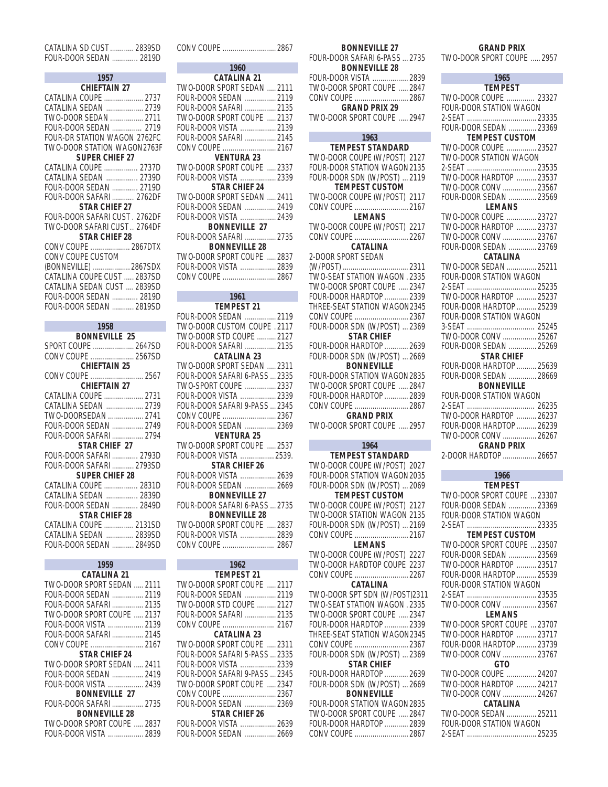| CATALINA SD CUST  2839SD |  |
|--------------------------|--|
| FOUR-DOOR SEDAN  2819D   |  |

| 1957                         |
|------------------------------|
| <b>CHIEFTAIN 27</b>          |
| CATALINA COUPE  2737         |
| CATALINA SEDAN  2739         |
| TWO-DOOR SEDAN  2711         |
| FOUR-DOOR SEDAN  2719        |
| FOUR-DR STATION WAGON 2762FC |
| TWO-DOOR STATION WAGON2763F  |
| <b>SUPER CHIFF 27</b>        |
| CATALINA COUPE  2737D        |
| CATALINA SEDAN  2739D        |
| FOUR-DOOR SEDAN  2719D       |
|                              |
| <b>STAR CHIFF 27</b>         |
| FOUR-DOOR SAFARI CUST 2762DF |
| TWO-DOOR SAFARI CUST 2764DF  |
| <b>STAR CHIFF 28</b>         |
| CONV COUPE  2867DTX          |
| CONV COUPE CUSTOM            |
| (BONNEVILLE)  2867SDX        |
| CATALINA COUPE CUST  2837SD  |
| CATALINA SEDAN CUST  2839SD  |
| FOUR-DOOR SEDAN  2819D       |
|                              |
|                              |
| 1958                         |

| 1959                       |
|----------------------------|
| CATALINA 21                |
| TWO-DOOR SPORT SEDAN  2111 |
| FOUR-DOOR SEDAN  2119      |
| FOUR-DOOR SAFARI  2135     |
| TWO-DOOR SPORT COUPE 2137  |
| FOUR-DOOR VISTA  2139      |
| FOUR-DOOR SAFARI  2145     |
|                            |
| STAR CHIFF 24              |
| TWO-DOOR SPORT SEDAN  2411 |
| FOUR-DOOR SEDAN  2419      |
| FOUR-DOOR VISTA  2439      |
| <b>BONNEVILLE 27</b>       |
|                            |
| <b>BONNEVILLE 28</b>       |
| TWO-DOOR SPORT COUPE  2837 |
| FOUR-DOOR VISTA  2839      |

| CONV COUPE  2867             |  |
|------------------------------|--|
| 1960                         |  |
| <b>CATALINA 21</b>           |  |
| TWO-DOOR SPORT SEDAN  2111   |  |
| FOUR-DOOR SEDAN  2119        |  |
| FOUR-DOOR SAFARI  2135       |  |
| TWO-DOOR SPORT COUPE  2137   |  |
| FOUR-DOOR VISTA  2139        |  |
| FOUR-DOOR SAFARI  2145       |  |
|                              |  |
| <b>VENTURA 23</b>            |  |
| TWO-DOOR SPORT COUPE , 2337  |  |
| FOUR-DOOR VISTA  2339        |  |
| STAR CHIEF 24                |  |
| TWO-DOOR SPORT SEDAN  2411   |  |
| FOUR-DOOR SEDAN  2419        |  |
| FOUR-DOOR VISTA  2439        |  |
| <b>BONNEVILLE 27</b>         |  |
| FOUR-DOOR SAFARI  2735       |  |
| <b>BONNEVILLE 28</b>         |  |
| TWO-DOOR SPORT COUPE  2837   |  |
| FOUR-DOOR VISTA  2839        |  |
| CONV COUPE  2867             |  |
|                              |  |
| 1961                         |  |
| <b>TEMPEST 21</b>            |  |
| FOUR-DOOR SEDAN  2119        |  |
| TWO-DOOR CUSTOM COUPE . 2117 |  |
| $TIMO$ DOOD STD COLIDE 2127  |  |

| TWO-DOOR STD COUPE  2127      |  |
|-------------------------------|--|
| FOUR-DOOR SAFARI  2135        |  |
| <b>CATALINA 23</b>            |  |
| TWO-DOOR SPORT SEDAN  2311    |  |
| FOUR-DOOR SAFARI 6-PASS  2335 |  |
| TWO-SPORT COUPE  2337         |  |
| FOUR-DOOR VISTA  2339         |  |
| FOUR-DOOR SAFARI 9-PASS  2345 |  |
| CONV COUPE  2367              |  |
| FOUR-DOOR SEDAN  2369         |  |
| <b>VENTURA 25</b>             |  |
| TWO-DOOR SPORT COUPE  2537    |  |
| FOUR-DOOR VISTA  2539.        |  |
| <b>STAR CHIEF 26</b>          |  |
| FOUR-DOOR VISTA  2639         |  |
| FOUR-DOOR SEDAN  2669         |  |
| <b>BONNEVILLE 27</b>          |  |
| FOUR-DOOR SAFARI 6-PASS  2735 |  |
| <b>BONNEVILLE 28</b>          |  |
| TWO-DOOR SPORT COUPE  2837    |  |
| FOUR-DOOR VISTA  2839         |  |
|                               |  |
|                               |  |

| 1962                          |  |
|-------------------------------|--|
| <b>TEMPEST 21</b>             |  |
| TWO-DOOR SPORT COUPE  2117    |  |
| FOUR-DOOR SEDAN  2119         |  |
| TWO-DOOR STD COUPE  2127      |  |
| FOUR-DOOR SAFARI  2135        |  |
|                               |  |
| CATALINA 23                   |  |
| TWO-DOOR SPORT COUPE  2311    |  |
| FOUR-DOOR SAFARI 5-PASS  2335 |  |
| FOUR-DOOR VISTA  2339         |  |
| FOUR-DOOR SAFARI 9-PASS  2345 |  |
| TWO-DOOR SPORT COUPE  2347    |  |
| CONV COUPE  2367              |  |
| FOUR-DOOR SEDAN  2369         |  |
| <b>STAR CHIEF 26</b>          |  |
| FOUR-DOOR VISTA  2639         |  |
| FOUR-DOOR SEDAN  2669         |  |

L

| <b>BONNEVILLE 27</b>                                                                        |  |
|---------------------------------------------------------------------------------------------|--|
| FOUR-DOOR SAFARI 6-PASS  2735                                                               |  |
| <b>BONNEVILLE 28</b>                                                                        |  |
| FOUR-DOOR VISTA  2839                                                                       |  |
| TWO-DOOR SPORT COUPE  2847                                                                  |  |
| CONV COUPE 2867<br>GRAND PRIX 29                                                            |  |
|                                                                                             |  |
| TWO-DOOR SPORT COUPE  2947                                                                  |  |
| 1963                                                                                        |  |
| <b>TEMPEST STANDARD</b>                                                                     |  |
| TWO-DOOR COUPE (W/POST) 2127                                                                |  |
| FOUR-DOOR STATION WAGON2135                                                                 |  |
| FOUR-DOOR SDN (W/POST)  2119                                                                |  |
| <b>TEMPEST CUSTOM</b>                                                                       |  |
| TWO-DOOR COUPE (W/POST) 2117                                                                |  |
| CONV COUPE 2167                                                                             |  |
|                                                                                             |  |
| TWO-DOOR COUPE (W/POST) 2217                                                                |  |
| CONV COUPE  2267                                                                            |  |
| CATALINA                                                                                    |  |
| 2-DOOR SPORT SEDAN<br>2-DOOR SPORT SEDAN<br>(W/POST)  2311<br>TWO-SEAT STATION WAGON . 2335 |  |
|                                                                                             |  |
| TWO-DOOR SPORT COUPE  2347                                                                  |  |
| FOUR-DOOR HARDTOP  2339                                                                     |  |
| THREE-SEAT STATION WAGON2345                                                                |  |
|                                                                                             |  |
| CONV COUPE  2367<br>FOUR-DOOR SDN (W/POST)  2369                                            |  |
| <b>STAR CHIEF</b>                                                                           |  |
| FOUR-DOOR HARDTOP  2639                                                                     |  |
| FOUR-DOOR SDN (W/POST)  2669                                                                |  |
| <b>BONNEVILLE</b>                                                                           |  |
| FOUR-DOOR STATION WAGON2835                                                                 |  |
| TWO-DOOR SPORT COUPE  2847                                                                  |  |
| FOUR-DOOR HARDTOP  2839                                                                     |  |
| CONV COUPE 2867                                                                             |  |
| and the state of the                                                                        |  |

## **GRAND PRIX**

TWO-DOOR SPORT COUPE ..... 2957

### **1964**

**TEMPEST STANDARD** TWO-DOOR COUPE (W/POST) 2027 FOUR-DOOR STATION WAGON2035 FOUR-DOOR SDN (W/POST) ... 2069 **TEMPEST CUSTOM** TWO-DOOR COUPE (W/POST) 2127 TWO-DOOR STATION WAGON 2135 FOUR-DOOR SDN (W/POST) ... 2169 CONV COUPE ........................... 2167 **LEMANS** TWO-DOOR COUPE (W/POST) 2227 TWO-DOOR HARDTOP COUPE 2237 CONV COUPE ........................... 2267 **CATALINA** TWO-DOOR SPT SDN (W/POST)2311 TWO-SEAT STATION WAGON . 2335

TWO-DOOR SPORT COUPE ..... 2347 FOUR-DOOR HARDTOP ............ 2339 THREE-SEAT STATION WAGON2345 CONV COUPE ........................... 2367 FOUR-DOOR SDN (W/POST) ... 2369 **STAR CHIEF** FOUR-DOOR HARDTOP ............ 2639 FOUR-DOOR SDN (W/POST) ... 2669 **BONNEVILLE** FOUR-DOOR STATION WAGON2835 TWO-DOOR SPORT COUPE ..... 2847 FOUR-DOOR HARDTOP ............ 2839 CONV COUPE ........................... 2867

### **GRAND PRIX**

TWO-DOOR SPORT COUPE ..... 2957

П

| 1965                               |  |
|------------------------------------|--|
| <b>TEMPEST</b>                     |  |
| TWO-DOOR COUPE  23327              |  |
| FOUR-DOOR STATION WAGON            |  |
|                                    |  |
| FOUR-DOOR SEDAN  23369             |  |
| <b>TEMPEST CUSTOM</b>              |  |
| TWO-DOOR COUPE  23527              |  |
| TWO-DOOR STATION WAGON             |  |
|                                    |  |
| - - - -<br>TWO-DOOR HARDTOP  23537 |  |
| TWO-DOOR CONV  23567               |  |
| FOUR-DOOR SEDAN  23569             |  |
| <b>LEMANS</b>                      |  |
| TWO-DOOR COUPE  23727              |  |
| TWO-DOOR HARDTOP  23737            |  |
| TWO-DOOR CONV  23767               |  |
| FOUR-DOOR SEDAN  23769             |  |
| <b>CATALINA</b>                    |  |
| TWO-DOOR SEDAN  25211              |  |
| FOUR-DOOR STATION WAGON            |  |
|                                    |  |
| TWO-DOOR HARDTOP  25237            |  |
| FOUR-DOOR HARDTOP  25239           |  |
| FOUR-DOOR STATION WAGON            |  |
|                                    |  |
| TWO-DOOR CONV  25267               |  |
| FOUR-DOOR SEDAN  25269             |  |
| <b>STAR CHIEF</b>                  |  |
| FOUR-DOOR HARDTOP  25639           |  |
| FOUR-DOOR SEDAN  28669             |  |
| <b>BONNEVILLE</b>                  |  |
| FOUR-DOOR STATION WAGON            |  |
|                                    |  |
| TWO-DOOR HARDTOP  26237            |  |
| FOUR-DOOR HARDTOP  26239           |  |
| TWO-DOOR CONV  26267               |  |
| <b>GRAND PRIX</b>                  |  |
| 2-DOOR HARDTOP  26657              |  |
|                                    |  |

#### **1966 TEMPEST**

TWO-DOOR SPORT COUPE ... 23307 FOUR-DOOR SEDAN .............. 23369 FOUR-DOOR STATION WAGON 2-SEAT ................................... 23335

#### **TEMPEST CUSTOM** TWO-DOOR SPORT COUPE ... 23507 FOUR-DOOR SEDAN .............. 23569 TWO-DOOR HARDTOP .......... 23517 FOUR-DOOR HARDTOP .......... 25539 FOUR-DOOR STATION WAGON 2-SEAT ................................... 23535 TWO-DOOR CONV ................. 23567 **LEMANS**

| TWO-DOOR SPORT COUPE  23707 |
|-----------------------------|
| TWO-DOOR HARDTOP  23717     |
| FOUR-DOOR HARDTOP  23739    |
| TWO-DOOR CONV  23767        |
| GTO                         |
| TWO-DOOR COUPE  24207       |
| TWO-DOOR HARDTOP  24217     |
| TWO-DOOR CONV  24267        |
| CATALINA                    |
| TWO-DOOR SEDAN  25211       |
| FOUR-DOOR STATION WAGON     |
|                             |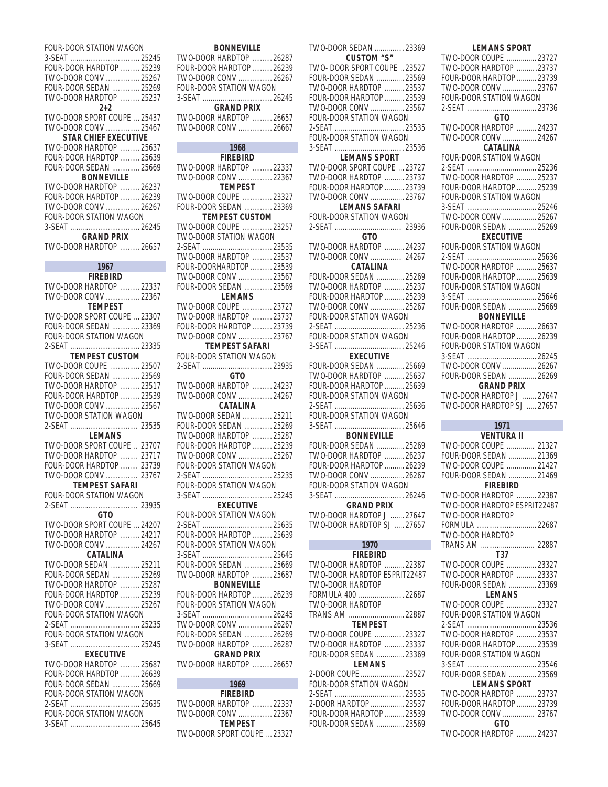| FOUR-DOOR STATION WAGON     |
|-----------------------------|
|                             |
|                             |
| FOUR-DOOR HARDTOP  25239    |
|                             |
| TWO-DOOR CONV  25267        |
| FOUR-DOOR SEDAN  25269      |
| TWO-DOOR HARDTOP  25237     |
|                             |
| $2+2$                       |
| TWO-DOOR SPORT COUPE  25437 |
|                             |
| TWO-DOOR CONV  25467        |
| <b>STAR CHIEF EXECUTIVE</b> |
| TWO-DOOR HARDTOP  25637     |
|                             |
| FOUR-DOOR HARDTOP  25639    |
| FOUR-DOOR SEDAN  25669      |
|                             |
| <b>BONNEVILLE</b>           |
| TWO-DOOR HARDTOP  26237     |
| FOUR-DOOR HARDTOP  26239    |
|                             |
| TWO-DOOR CONV  26267        |
| FOUR-DOOR STATION WAGON     |
|                             |
|                             |
| <b>GRAND PRIX</b>           |
| TWO-DOOR HARDTOP  26657     |
|                             |
|                             |
| 1967                        |
|                             |
| <b>FIREBIRD</b>             |
| TWO-DOOR HARDTOP  22337     |
|                             |
| TWO-DOOR CONV  22367        |
| <b>TEMPEST</b>              |
| TWO-DOOR SPORT COUPE  23307 |
|                             |
| FOUR-DOOR SEDAN  23369      |
| FOUR-DOOR STATION WAGON     |
|                             |
|                             |
| <b>TEMPEST CUSTOM</b>       |
| TWO-DOOR COUPE  23507       |
|                             |
| FOUR-DOOR SEDAN  23569      |
| TWO-DOOR HARDTOP  23517     |
|                             |
| FOUR-DOOR HARDTOP  23539    |
| TWO-DOOR CONV  23567        |
| TWO-DOOR STATION WAGON      |
|                             |
|                             |
| LEMANS                      |
|                             |
| TWO-DOOR SPORT COUPE  23707 |
| TWO-DOOR HARDTOP  23717     |
| FOUR-DOOR HARDTOP  23739    |
|                             |
| TWO-DOOR CONV  23767        |
| TEMPEST SAFARI              |
|                             |
| FOUR-DOOR STATION WAGON     |
|                             |
| GTO.                        |
|                             |
| TWO-DOOR SPORT COUPE  24207 |
| TWO-DOOR HARDTOP  24217     |
|                             |
| TWO-DOOR CONV  24267        |
| CATALINA                    |
| TWO-DOOR SEDAN  25211       |
|                             |
| FOUR-DOOR SEDAN  25269      |
|                             |
|                             |
| TWO-DOOR HARDTOP  25287     |
| FOUR-DOOR HARDTOP  25239    |
|                             |
| TWO-DOOR CONV  25267        |
| FOUR-DOOR STATION WAGON     |
|                             |
|                             |
| FOUR-DOOR STATION WAGON     |
|                             |
|                             |
| <b>EXECUTIVE</b>            |
| TWO-DOOR HARDTOP  25687     |
|                             |
| FOUR-DOOR HARDTOP  26639    |
| FOUR-DOOR SEDAN  25669      |
| FOUR-DOOR STATION WAGON     |
|                             |
|                             |
| FOUR-DOOR STATION WAGON     |
|                             |

| <b>BONNEVILLE</b>                               |  |
|-------------------------------------------------|--|
| TWO-DOOR HARDTOP  26287                         |  |
| FOUR-DOOR HARDTOP  26239                        |  |
| TWO-DOOR CONV  26267                            |  |
| FOUR-DOOR STATION WAGON                         |  |
|                                                 |  |
| <b>GRAND PRIX</b>                               |  |
| TWO-DOOR HARDTOP  26657                         |  |
| TWO-DOOR CONV  26667                            |  |
| 1968                                            |  |
| FIREBIRD                                        |  |
| TWO-DOOR HARDTOP  22337                         |  |
| TWO-DOOR CONV  22367                            |  |
| <b>TEMPEST</b>                                  |  |
| TWO-DOOR COUPE  23327                           |  |
| FOUR-DOOR SEDAN  23369                          |  |
| <b>TEMPEST CUSTOM</b>                           |  |
| TWO-DOOR COUPE  23257                           |  |
| <b>TWO-DOOR STATION WAGON</b>                   |  |
|                                                 |  |
| TWO-DOOR HARDTOP  23537                         |  |
| FOUR-DOORHARDTOP  23539                         |  |
| TWO-DOOR CONV  23567                            |  |
| FOUR-DOOR SEDAN  23569                          |  |
| <b>LEMANS</b>                                   |  |
| TWO-DOOR COUPE  23727                           |  |
| TWO-DOOR HARDTOP  23737                         |  |
| FOUR-DOOR HARDTOP  23739                        |  |
| TWO-DOOR CONV  23767                            |  |
| <b>TEMPEST SAFARI</b>                           |  |
| FOUR-DOOR STATION WAGON                         |  |
| 2-SFAT                                          |  |
| GTO.                                            |  |
| TWO-DOOR HARDTOP  24237<br>TWO-DOOR CONV  24267 |  |
| CATALINA                                        |  |
| TWO-DOOR SEDAN  25211                           |  |
| FOUR-DOOR SEDAN  25269                          |  |
|                                                 |  |

| I VVU-DUUN HANDTUF  24231 |  |
|---------------------------|--|
| TWO-DOOR CONV  24267      |  |
| <b>CATALINA</b>           |  |
| TWO-DOOR SEDAN  25211     |  |
| FOUR-DOOR SEDAN  25269    |  |
| TWO-DOOR HARDTOP  25287   |  |
| FOUR-DOOR HARDTOP  25239  |  |
| TWO-DOOR CONV  25267      |  |
| FOUR-DOOR STATION WAGON   |  |
|                           |  |
| FOUR-DOOR STATION WAGON   |  |
|                           |  |
| EXECUTIVE                 |  |
| FOUR-DOOR STATION WAGON   |  |
|                           |  |
| FOUR-DOOR HARDTOP  25639  |  |
| FOUR-DOOR STATION WAGON   |  |
|                           |  |
| FOUR-DOOR SEDAN  25669    |  |
| TWO-DOOR HARDTOP  25687   |  |
| <b>BONNEVILLE</b>         |  |
| FOUR-DOOR HARDTOP  26239  |  |
| FOUR-DOOR STATION WAGON   |  |
|                           |  |
| TWO-DOOR CONV  26267      |  |
| FOUR-DOOR SEDAN  26269    |  |
| TWO-DOOR HARDTOP  26287   |  |
| <b>GRAND PRIX</b>         |  |
| TWO-DOOR HARDTOP  26657   |  |
|                           |  |
| 1969                      |  |

| 1969                        |  |
|-----------------------------|--|
| <b>FIREBIRD</b>             |  |
| TWO-DOOR HARDTOP  22337     |  |
|                             |  |
| <b>TEMPEST</b>              |  |
| TWO-DOOR SPORT COUPE  23327 |  |

| TWO-DOOR SEDAN  23369<br><b>CUSTOM "S"</b>          |  |
|-----------------------------------------------------|--|
| TWO- DOOR SPORT COUPE  23527                        |  |
| FOUR-DOOR SEDAN  23569                              |  |
|                                                     |  |
| TWO-DOOR HARDTOP  23537<br>FOUR-DOOR HARDTOP  23539 |  |
|                                                     |  |
| TWO-DOOR CONV  23567                                |  |
| FOUR-DOOR STATION WAGON                             |  |
|                                                     |  |
|                                                     |  |
|                                                     |  |
| LEMANS SPORT                                        |  |
| TWO-DOOR SPORT COUPE  23727                         |  |
|                                                     |  |
| TWO-DOOR HARDTOP  23737<br>FOUR-DOOR HARDTOP  23739 |  |
| TWO-DOOR CONV  23767                                |  |
| <b>LEMANS SAFARI</b>                                |  |
| FOUR-DOOR STATION WAGON                             |  |
|                                                     |  |
|                                                     |  |
| <b>GTO</b><br>TWO-DOOR HARDTOP  24237               |  |
|                                                     |  |
| TWO-DOOR CONV  24267                                |  |
| <b>CATALINA</b>                                     |  |
| FOUR-DOOR SEDAN  25269                              |  |
| TWO-DOOR HARDTOP  25237                             |  |
| FOUR-DOOR HARDTOP  25239                            |  |
| TWO-DOOR CONV  25267                                |  |
| FOUR-DOOR STATION WAGON                             |  |
|                                                     |  |
|                                                     |  |
|                                                     |  |
| <b>EXECUTIVE</b>                                    |  |
| FOUR-DOOR SEDAN  25669                              |  |
|                                                     |  |
| TWO-DOOR HARDTOP  25637                             |  |
| FOUR-DOOR HARDTOP  25639                            |  |
|                                                     |  |
| FOUR-DOOR STATION WAGON                             |  |
|                                                     |  |
| FOUR-DOOR STATION WAGON                             |  |
|                                                     |  |
| <b>BONNEVILLE</b>                                   |  |
|                                                     |  |
| FOUR-DOOR SEDAN  25269                              |  |
| TWO-DOOR HARDTOP  26237                             |  |
| FOUR-DOOR HARDTOP  26239                            |  |
| TWO-DOOR CONV  26267                                |  |
| FOUR-DOOR STATION WAGON                             |  |
|                                                     |  |
| <b>GRAND PRIX</b>                                   |  |
| TWO-DOOR HARDTOP J  27647                           |  |
| TWO-DOOR HARDTOP SJ  27657                          |  |
|                                                     |  |
| 1970                                                |  |
| FIREBIRD                                            |  |
| TWO-DOOR HARDTOP  22387                             |  |
| TWO-DOOR HARDTOP ESPRIT22487                        |  |
| TWO-DOOR HARDTOP                                    |  |
| FORMULA 400  22687                                  |  |
| TWO-DOOR HARDTOP                                    |  |
|                                                     |  |
| TRANS AM 22887<br><b>TEMPEST</b>                    |  |
|                                                     |  |
| TWO-DOOR COUPE  23327                               |  |
| TWO-DOOR HARDTOP  23337                             |  |
| FOUR-DOOR SEDAN  23369                              |  |
| <b>LEMANS</b>                                       |  |
| 2-DOOR COUPE  23527                                 |  |
| FOUR-DOOR STATION WAGON                             |  |
|                                                     |  |
| 2-DOOR HARDTOP  23537                               |  |
| FOUR-DOOR HARDTOP  23539<br>FOUR-DOOR SEDAN  23569  |  |

| <b>LEMANS SPORT</b>                                 |
|-----------------------------------------------------|
| TWO-DOOR COUPE  23727                               |
| TWO-DOOR HARDTOP  . 23737                           |
| FOUR-DOOR HARDTOP  23739                            |
| TWO-DOOR CONV  23767                                |
| FOUR-DOOR STATION WAGON                             |
| GTO                                                 |
| TWO-DOOR HARDTOP  24237                             |
| TWO-DOOR CONV  24267                                |
| <b>CATALINA</b>                                     |
| FOUR-DOOR STATION WAGON                             |
|                                                     |
| TWO-DOOR HARDTOP  25237                             |
| FOUR-DOOR HARDTOP  25239                            |
| FOUR-DOOR STATION WAGON                             |
| TWO-DOOR CONV  25267                                |
| FOUR-DOOR SEDAN  25269                              |
| EXECUTIVE                                           |
| FOUR-DOOR STATION WAGON                             |
|                                                     |
| TWO-DOOR HARDTOP  25637                             |
| FOUR-DOOR HARDTOP  25639                            |
| FOUR-DOOR STATION WAGON                             |
|                                                     |
| FOUR-DOOR SEDAN  25669                              |
| <b>BONNEVILLE</b>                                   |
| TWO-DOOR HARDTOP  26637                             |
| FOUR-DOOR HARDTOP  26239<br>FOUR-DOOR STATION WAGON |
|                                                     |
| TWO-DOOR CONV  26267                                |
| FOUR-DOOR SEDAN  26269                              |
| <b>GRAND PRIX</b>                                   |
|                                                     |
| TWO-DOOR HARDTOP J  27647                           |
| TWO-DOOR HARDTOP SJ  27657                          |
|                                                     |
| 1971                                                |
| <b>VENTURA II</b>                                   |
| TWO-DOOR COUPE  21327                               |
| FOUR-DOOR SEDAN  21369                              |
| TWO-DOOR COUPE  21427                               |
| FOUR-DOOR SEDAN  21469<br><b>FIREBI</b><br>кIJ      |
| TWO-DOOR HARDTOP  22387                             |
| TWO-DOOR HARDTOP ESPRIT22487                        |
| TWO-DOOR HARDTOP                                    |
| FORMULA  22687                                      |
| TWO-DOOR HARDTOP                                    |
| TRANS AM  22887                                     |
| <b>T37</b>                                          |
| TWO-DOOR COUPE  23327                               |
| TWO-DOOR HARDTOP  23337                             |
| FOUR-DOOR SEDAN  23369<br><b>LEMANS</b>             |
| TWO-DOOR COUPE  23327                               |
| FOUR-DOOR STATION WAGON                             |
|                                                     |
| TWO-DOOR HARDTOP  23537                             |
| FOUR-DOOR HARDTOP  23539                            |
| FOUR-DOOR STATION WAGON                             |
|                                                     |
| FOUR-DOOR SEDAN  23569                              |
| <b>LEMANS SPORT</b>                                 |
| TWO-DOOR HARDTOP  23737<br>FOUR-DOOR HARDTOP  23739 |
| TWO-DOOR CONV  23767                                |
| GTO<br>TWO-DOOR HARDTOP  24237                      |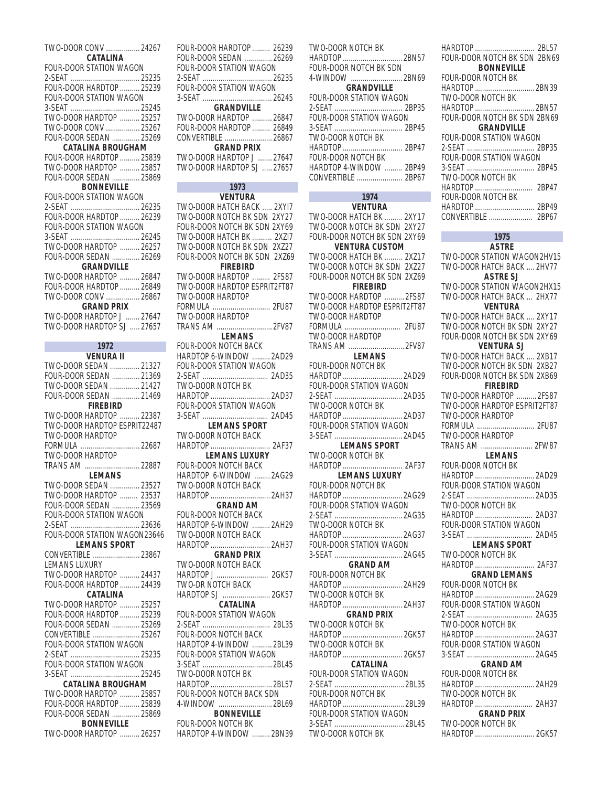| TWO-DOOR CONV  24267                                   |                |
|--------------------------------------------------------|----------------|
| CATALINA                                               |                |
| FOUR-DOOR STATION WAGON                                |                |
|                                                        |                |
| FOUR-DOOR HARDTOP  25239                               |                |
| FOUR-DOOR STATION WAGON                                |                |
|                                                        |                |
| TWO-DOOR HARDTOP  25257                                |                |
| TWO-DOOR CONV  25267                                   |                |
| FOUR-DOOR SEDAN  25269                                 |                |
| <b>CATALINA BROUGHAM</b>                               |                |
| FOUR-DOOR HARDTOP  25839                               |                |
| TWO-DOOR HARDTOP  25857                                |                |
| FOUR-DOOR SEDAN  25869                                 |                |
| <b>BONNEVILLE</b>                                      |                |
| FOUR-DOOR STATION WAGON                                |                |
|                                                        |                |
| FOUR-DOOR HARDTOP  26239                               |                |
| FOUR-DOOR STATION WAGON                                |                |
|                                                        |                |
| TWO-DOOR HARDTOP  26257                                |                |
| FOUR-DOOR SEDAN  26269                                 |                |
| <b>GRANDVILLE</b><br>TWO-DOOR HARDTOP  26847           |                |
|                                                        |                |
| FOUR-DOOR HARDTOP  26849                               |                |
| TWO-DOOR CONV  26867                                   |                |
| <b>GRAND PRIX</b>                                      |                |
| TWO-DOOR HARDTOP J  27647<br>TWO-DOOR HARDTOP SJ 27657 |                |
|                                                        |                |
| 1972                                                   |                |
| <b>VENURA II</b>                                       |                |
| TWO-DOOR SEDAN  21327                                  |                |
| FOUR-DOOR SEDAN  21369                                 |                |
| TWO-DOOR SEDAN  21427                                  |                |
|                                                        |                |
|                                                        |                |
| FOUR-DOOR SEDAN  21469                                 |                |
| <b>FIREBIRD</b>                                        |                |
| TWO-DOOR HARDTOP  22387                                |                |
| TWO-DOOR HARDTOP ESPRIT22487                           |                |
| TWO-DOOR HARDTOP                                       |                |
| FORMULA  22687                                         |                |
| TWO-DOOR HARDTOP                                       |                |
| TRANS AM                                               | $\ldots$ 22887 |
| <b>LEMANS</b>                                          | 23527          |
| TWO-DOOR SEDAN                                         |                |
| TWO-DOOR HARDTOP  23537                                |                |
| FOUR-DOOR SEDAN  23569                                 |                |
| FOUR-DOOR STATION WAGON                                |                |
|                                                        |                |
| FOUR-DOOR STATION WAGON23646<br><b>LEMANS SPORT</b>    |                |
|                                                        |                |
| CONVERTIBLE  23867<br>LEMANS LUXURY                    |                |
|                                                        |                |
| TWO-DOOR HARDTOP  24437                                |                |
| FOUR-DOOR HARDTOP  24439<br><b>CATALINA</b>            |                |
| TWO-DOOR HARDTOP  25257                                |                |
|                                                        |                |
| FOUR-DOOR HARDTOP  25239<br>FOUR-DOOR SEDAN  25269     |                |
| CONVERTIBLE  25267                                     |                |
| FOUR-DOOR STATION WAGON                                |                |
|                                                        |                |
| FOUR-DOOR STATION WAGON                                |                |
|                                                        |                |
| <b>CATALINA BROUGHAM</b>                               |                |
| TWO-DOOR HARDTOP  25857                                |                |
| FOUR-DOOR HARDTOP  25839                               |                |
| FOUR-DOOR SEDAN  25869<br><b>BONNEVILLE</b>            |                |

| _ _ _            |                |
|------------------|----------------|
| TWO-DOOR HARDTOP | $\ldots$ 26257 |

FOUR-DOOR HARDTOP ......... 26239 FOUR-DOOR SEDAN .............. 26269 FOUR-DOOR STATION WAGON 2-SEAT ................................... 26235 FOUR-DOOR STATION WAGON 3-SEAT ................................... 26245 **GRANDVILLE** TWO-DOOR HARDTOP .......... 26847 FOUR-DOOR HARDTOP ......... 26849 CONVERTIBLE ........................ 26867 **GRAND PRIX** TWO-DOOR HARDTOP J ....... 27647 TWO-DOOR HARDTOP SJ ..... 27657 **1973 VENTURA** TWO-DOOR HATCH BACK ..... 2XYI7

TWO-DOOR NOTCH BK SDN 2XY27 FOUR-DOOR NOTCH BK SDN 2XY69 TWO-DOOR HATCH BK .......... 2XZI7 TWO-DOOR NOTCH BK SDN 2XZ27 FOUR-DOOR NOTCH BK SDN 2XZ69 **FIREBIRD** TWO-DOOR HARDTOP ......... 2FS87 TWO-DOOR HARDTOP ESPRIT2FT87 TWO-DOOR HARDTOP FORMULA ............................. 2FU87 TWO-DOOR HARDTOP TRANS AM ............................ 2FV87 **LEMANS** FOUR-DOOR NOTCH BACK HARDTOP 6-WINDOW ......... 2AD29 FOUR-DOOR STATION WAGON 2-SEAT ................................. 2AD35 TWO-DOOR NOTCH BK HARDTOP .............................. 2AD37 FOUR-DOOR STATION WAGON 3-SEAT ................................. 2AD45 **LEMANS SPORT** TWO-DOOR NOTCH BACK HARDTOP .............................. 2AF37 **LEMANS LUXURY** FOUR-DOOR NOTCH BACK HARDTOP 6-WINDOW ........ 2AG29 TWO-DOOR NOTCH BACK HARDTOP .............................. 2AH37 **GRAND AM** FOUR-DOOR NOTCH BACK HARDTOP 6-WINDOW ......... 2AH29 TWO-DOOR NOTCH BACK HARDTOP .............................. 2AH37 **GRAND PRIX** TWO-DOOR NOTCH BACK HARDTOP J .......................... 2GK57 TWO-DR NOTCH BACK HARDTOP SJ ........................ 2GK57 **CATALINA** FOUR-DOOR STATION WAGON 2-SEAT .................................. 2BL35 FOUR-DOOR NOTCH BACK HARDTOP 4-WINDOW .......... 2BL39 FOUR-DOOR STATION WAGON 3-SEAT ................................... 2BL45 TWO-DOOR NOTCH BK HARDTOP ............................... 2BL57 FOUR-DOOR NOTCH BACK SDN 4-WINDOW ........................... 2BL69

### **BONNEVILLE** FOUR-DOOR NOTCH BK HARDTOP 4-WINDOW ......... 2BN39

TWO-DOOR NOTCH BK HARDTOP .............................. 2BN57 FOUR-DOOR NOTCH BK SDN 4-WINDOW .......................... 2BN69 **GRANDVILLE** FOUR-DOOR STATION WAGON 2-SEAT .................................. 2BP35 FOUR-DOOR STATION WAGON 3-SEAT .................................. 2BP45 TWO-DOOR NOTCH BK HARDTOP .............................. 2BP47 FOUR-DOOR NOTCH BK HARDTOP 4-WINDOW ......... 2BP49 CONVERTIBLE ....................... 2BP67

#### **1974 VENTURA**

TWO-DOOR HATCH BK ......... 2XY17 TWO-DOOR NOTCH BK SDN 2XY27 FOUR-DOOR NOTCH BK SDN 2XY69 **VENTURA CUSTOM** TWO-DOOR HATCH BK ......... 2XZ17 TWO-DOOR NOTCH BK SDN 2XZ27 FOUR-DOOR NOTCH BK SDN 2XZ69 **FIREBIRD** TWO-DOOR HARDTOP .......... 2FS87 TWO-DOOR HARDTOP ESPRIT2FT87 TWO-DOOR HARDTOP FORMULA ............................ 2FU87 TWO-DOOR HARDTOP TRANS AM ............................ 2FV87 **LEMANS** FOUR-DOOR NOTCH BK HARDTOP .............................. 2AD29 FOUR-DOOR STATION WAGON 2-SEAT .................................. 2AD35 TWO-DOOR NOTCH BK HARDTOP .............................. 2AD37 FOUR-DOOR STATION WAGON 3-SEAT .................................. 2AD45 **LEMANS SPORT** TWO-DOOR NOTCH BK HARDTOP .............................. 2AF37 **LEMANS LUXURY** FOUR-DOOR NOTCH BK HARDTOP .............................. 2AG29 FOUR-DOOR STATION WAGON 2-SEAT .................................. 2AG35 TWO-DOOR NOTCH BK HARDTOP .............................. 2AG37 FOUR-DOOR STATION WAGON 3-SEAT .................................. 2AG45 **GRAND AM** FOUR-DOOR NOTCH BK HARDTOP .............................. 2AH29 TWO-DOOR NOTCH BK HARDTOP .............................. 2AH37 **GRAND PRIX** TWO-DOOR NOTCH BK HARDTOP .............................. 2GK57 TWO-DOOR NOTCH BK HARDTOP .............................. 2GK57 **CATALINA** FOUR-DOOR STATION WAGON 2-SEAT ................................... 2BL35 FOUR-DOOR NOTCH BK HARDTOP ............................... 2BL39 FOUR-DOOR STATION WAGON 3-SEAT ................................... 2BL45 TWO-DOOR NOTCH BK

HARDTOP .............................. 2BL57 FOUR-DOOR NOTCH BK SDN 2BN69 **BONNEVILLE** FOUR-DOOR NOTCH BK HARDTOP .............................. 2BN39 TWO-DOOR NOTCH BK HARDTOP .............................. 2BN57 FOUR-DOOR NOTCH BK SDN 2BN69 **GRANDVILLE** FOUR-DOOR STATION WAGON 2-SEAT .................................. 2BP35 FOUR-DOOR STATION WAGON 3-SEAT .................................. 2BP45 TWO-DOOR NOTCH BK HARDTOP ............................. 2BP47 FOUR-DOOR NOTCH BK HARDTOP .............................. 2BP49 CONVERTIBLE ...................... 2BP67

### **1975**

**ASTRE** TWO-DOOR STATION WAGON2HV15 TWO-DOOR HATCH BACK .... 2HV77 **ASTRE SJ**

TWO-DOOR STATION WAGON2HX15 TWO-DOOR HATCH BACK ... 2HX77 **VENTURA** TWO-DOOR HATCH BACK .... 2XY17 TWO-DOOR NOTCH BK SDN 2XY27 FOUR-DOOR NOTCH BK SDN 2XY69 **VENTURA SJ** TWO-DOOR HATCH BACK .... 2XB17 TWO-DOOR NOTCH BK SDN 2XB27 FOUR-DOOR NOTCH BK SDN 2XB69 **FIREBIRD** TWO-DOOR HARDTOP .......... 2FS87 TWO-DOOR HARDTOP ESPRIT2FT87 TWO-DOOR HARDTOP FORMULA ............................. 2FU87 TWO-DOOR HARDTOP TRANS AM .......................... 2FW87 **LEMANS** FOUR-DOOR NOTCH BK HARDTOP .............................. 2AD29 FOUR-DOOR STATION WAGON 2-SEAT .................................. 2AD35 TWO-DOOR NOTCH BK HARDTOP ............................. 2AD37 FOUR-DOOR STATION WAGON 3-SEAT ................................. 2AD45 **LEMANS SPORT** TWO-DOOR NOTCH BK HARDTOP .............................. 2AF37 **GRAND LEMANS** FOUR-DOOR NOTCH BK HARDTOP .............................. 2AG29 FOUR-DOOR STATION WAGON 2-SEAT ................................. 2AG35 TWO-DOOR NOTCH BK HARDTOP .............................. 2AG37 FOUR-DOOR STATION WAGON 3-SEAT .................................. 2AG45 **GRAND AM** FOUR-DOOR NOTCH BK HARDTOP .............................. 2AH29 TWO-DOOR NOTCH BK HARDTOP ............................. 2AH37 **GRAND PRIX** TWO-DOOR NOTCH BK HARDTOP .............................. 2GK57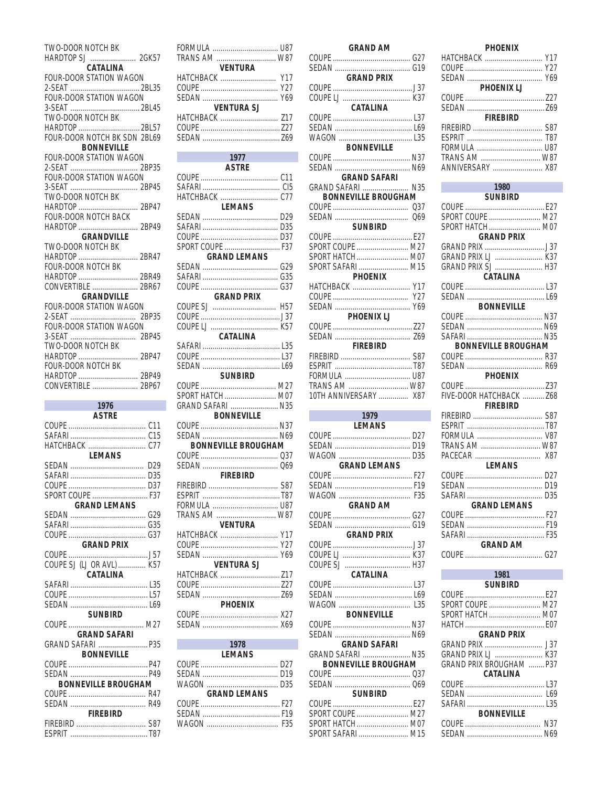| TWO-DOOR NOTCH BK                            |
|----------------------------------------------|
| HARDTOP SJ  2GK57                            |
| CATALINA                                     |
| FOUR-DOOR STATION WAGON                      |
| FOUR-DOOR STATION WAGON                      |
|                                              |
| TWO-DOOR NOTCH BK                            |
| HARDTOP 2BL57                                |
| FOUR-DOOR NOTCH BK SDN 2BL69                 |
| <b>BONNEVILLE</b><br>FOUR-DOOR STATION WAGON |
|                                              |
| FOUR-DOOR STATION WAGON                      |
|                                              |
| TWO-DOOR NOTCH BK                            |
| HARDTOP  2BP47                               |
| FOUR-DOOR NOTCH BACK                         |
| <b>GRANDVILLE</b>                            |
| TWO-DOOR NOTCH BK                            |
| HARDTOP  2BR47                               |
| FOUR-DOOR NOTCH BK                           |
| HARDTOP  2BR49                               |
| CONVERTIBLE  2BR67                           |
| <b>GRANDVILLE</b><br>FOUR-DOOR STATION WAGON |
|                                              |
| FOUR-DOOR STATION WAGON                      |
|                                              |
| TWO-DOOR NOTCH BK                            |
| HARDTOP  2BP47                               |
|                                              |
| FOUR-DOOR NOTCH BK                           |
|                                              |
| CONVERTIBLE  2BP67                           |
| 1976                                         |
| <b>ASTRE</b>                                 |
|                                              |
|                                              |
| LEMANS                                       |
|                                              |
| D35                                          |
|                                              |
| SPORT COUPE  F37                             |
| <b>GRAND LEMANS</b>                          |
|                                              |
|                                              |
| <b>GRAND PRIX</b>                            |
|                                              |
| COUPE SJ (LJ OR AVL)  K57                    |
| CATALINA                                     |
|                                              |
|                                              |
| <b>SUNBIRD</b>                               |
|                                              |
| <b>GRAND SAFARI</b>                          |
| GRAND SAFARI  P35                            |
| <b>BONNEVILLE</b>                            |
|                                              |
|                                              |
| <b>BONNEVILLE BROUGHAM</b>                   |
|                                              |

**FIREBIRD** 

| 1977                       |
|----------------------------|
| <b>ASTRE</b>               |
|                            |
|                            |
|                            |
| <b>LEMANS</b>              |
|                            |
|                            |
|                            |
| SPORT COUPE  F37           |
| <b>GRAND LEMANS</b>        |
|                            |
|                            |
|                            |
| <b>GRAND PRIX</b>          |
|                            |
|                            |
|                            |
| CATALINA                   |
|                            |
|                            |
|                            |
| <b>SUNBIRD</b>             |
|                            |
| SPORT HATCH  M07           |
| GRAND SAFARI  N35          |
| <b>BONNEVILLE</b>          |
|                            |
| <b>BONNEVILLE BROUGHAM</b> |
|                            |
|                            |
|                            |
|                            |
| <b>FIREBIRD</b>            |
|                            |
|                            |
|                            |
| TRANS AM  W87              |
| <b>VENTURA</b>             |
| HATCHBACK  Y17             |
| Y27                        |
| Y69<br><b>VENTURA SJ</b>   |
|                            |
|                            |
|                            |
| <b>PHOENIX</b>             |
|                            |
|                            |
|                            |
| 1978                       |
| <b>LEMANS</b>              |
|                            |
|                            |
|                            |
| <b>GRAND LEMANS</b>        |
|                            |
|                            |
|                            |
|                            |
|                            |
|                            |
|                            |

TRANS AM WENTURA

SEDAN<br>V69<br>VENTURA SJ

| <b>GRAND AM</b>                                                                          |
|------------------------------------------------------------------------------------------|
|                                                                                          |
| <b>GRAND PRIX</b>                                                                        |
| CATALINA                                                                                 |
| <b>BONNEVILLE</b>                                                                        |
| <b>GRAND SAFARI</b><br>GRAND SAFARI  N35                                                 |
| <b>BONNEVILLE BROUGHAM</b>                                                               |
| SUNBIRD                                                                                  |
| SPORT COUPE  M27<br>SPORT HATCH  M07<br>SPORT SAFARI  M15<br><b>PHOENIX</b>              |
| HATCHBACK  Y17<br>Y27<br>Y69                                                             |
| PHOENIX LJ                                                                               |
| <b>FIREBIRD</b><br>TRANS AM  W87<br>10TH ANNIVERSARY  X87                                |
|                                                                                          |
| 1979<br>LEMANS                                                                           |
| <b>GRAND LEMANS</b>                                                                      |
| <b>GRAND AM</b>                                                                          |
| <b>GRAND PRIX</b>                                                                        |
| <b>CATALINA</b><br><b>BONNEVILLE</b>                                                     |
|                                                                                          |
| <b>GRAND SAFARI</b><br>GRAND SAFARI  N35<br><b>BONNEVILLE BROUGHAM</b><br><b>SUNBIRD</b> |

| HATCHBACK  Y17             |
|----------------------------|
|                            |
|                            |
| PHOENIX LJ                 |
|                            |
| <b>FIREBIRD</b>            |
|                            |
|                            |
|                            |
| TRANS AM  W87              |
| ANNIVERSARY  X87           |
| 1980                       |
| <b>SUNBIRD</b>             |
|                            |
| SPORT COUPE  M27           |
| SPORT HATCH M07            |
| <b>GRAND PRIX</b>          |
| GRAND PRIX LJ  K37         |
| GRAND PRIX SJ  H37         |
| CATALINA                   |
|                            |
|                            |
| <b>BONNEVILLE</b>          |
|                            |
|                            |
| <b>BONNEVILLE BROUGHAM</b> |
|                            |
|                            |
| PHOENIX                    |
|                            |
| FIVE-DOOR HATCHBACK  Z68   |
| FIREBIRD                   |
|                            |
| FORMULA  V87               |
| TRANS AM  W87              |
|                            |
| <b>LEMANS</b>              |
|                            |
|                            |
| <b>GRAND LEMANS</b>        |
|                            |
|                            |
|                            |
| <b>GRAND AM</b>            |
| COUPE                      |
| 1981                       |
| CHAIDIDD                   |

**PHOENIX** 

| 1981                     |  |
|--------------------------|--|
| <b>SUNBIRD</b>           |  |
|                          |  |
| SPORT COUPE  M27         |  |
| SPORT HATCH  M07         |  |
|                          |  |
| <b>GRAND PRIX</b>        |  |
|                          |  |
|                          |  |
| GRAND PRIX BROUGHAM  P37 |  |
| <b>CATALINA</b>          |  |
|                          |  |
| L69                      |  |
|                          |  |
| BONNEVILLE               |  |
| N37                      |  |
| N69<br>SEDAN             |  |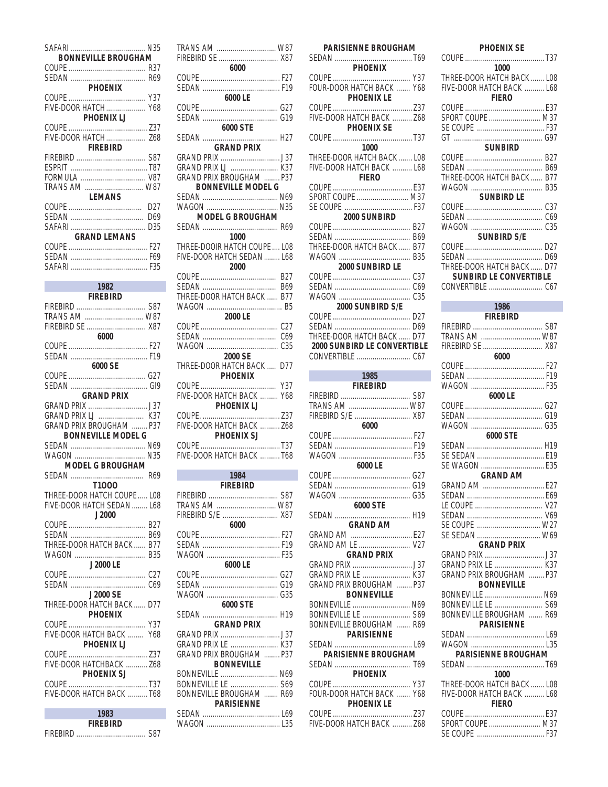| <b>BONNEVILLE BROUGHAM</b> |     |
|----------------------------|-----|
|                            |     |
|                            |     |
| <b>PHOENIX</b>             |     |
|                            |     |
| FIVE-DOOR HATCH Y68        |     |
| <b>PHOENIX LJ</b>          |     |
|                            |     |
| FIVE-DOOR HATCH Z68        |     |
| <b>FIREBIRD</b>            |     |
|                            |     |
|                            |     |
| FORMULA  V87               |     |
|                            |     |
| <b>LEMANS</b>              |     |
|                            | D27 |
|                            | D69 |
|                            | D35 |
| <b>GRAND LEMANS</b>        |     |
|                            |     |
|                            |     |
|                            |     |
|                            |     |

| 1982                           |
|--------------------------------|
| <b>FIREBIRD</b>                |
|                                |
|                                |
| FIREBIRD SE  X87               |
| 6000                           |
|                                |
|                                |
| 6000 SE                        |
|                                |
| <b>GRAND PRIX</b>              |
|                                |
| GRAND PRIX LJ  K37             |
| <b>GRAND PRIX BROUGHAM</b> P37 |
| <b>BONNEVILLE MODEL G</b>      |
|                                |
|                                |
| <b>MODEL G BROUGHAM</b>        |
|                                |
| T1000                          |
| THREE-DOOR HATCH COUPE  LO8    |
| FIVE-DOOR HATCH SEDAN  L68     |
| J2000                          |
|                                |
|                                |
| THREE-DOOR HATCH BACK  B77     |
| J2000 LE                       |
|                                |
|                                |
| J2000 SF                       |
| THREE-DOOR HATCH BACK  D77     |
| PHOFNIX                        |
|                                |
| FIVE-DOOR HATCH BACK<br>Y68    |
| <b>PHOFNIX LJ</b>              |
|                                |
| FIVE-DOOR HATCHBACK  Z68       |
| PHOENIX SJ                     |
| COUPE                          |
| FIVE-DOOR HATCH BACK T68       |
|                                |
| 1983                           |

I

| 1983            |      |
|-----------------|------|
| <b>FIREBIRD</b> |      |
|                 | -S87 |

| TRANS AM  W87                |                      |
|------------------------------|----------------------|
| FIREBIRD SE  X87             |                      |
| 6000                         |                      |
|                              |                      |
|                              |                      |
| 6000 LE                      |                      |
|                              |                      |
|                              |                      |
| 6000 STE                     |                      |
|                              |                      |
| <b>GRAND PRIX</b>            |                      |
|                              |                      |
| GRAND PRIX LJ  K37           |                      |
| GRAND PRIX BROUGHAM  P37     |                      |
| <b>BONNEVILLE MODEL G</b>    |                      |
|                              |                      |
|                              |                      |
| <b>MODEL G BROUGHAM</b>      |                      |
|                              |                      |
| 1000                         |                      |
| THREE-DOOIR HATCH COUPE  LO8 |                      |
| FIVE-DOOR HATCH SEDAN  L68   |                      |
| 2000                         |                      |
|                              |                      |
|                              |                      |
| THREE-DOOR HATCH BACK  B77   |                      |
|                              |                      |
| 2000 LE                      |                      |
|                              |                      |
|                              |                      |
|                              |                      |
| 2000 SE                      |                      |
| THREE-DOOR HATCH BACK  D77   |                      |
|                              |                      |
|                              |                      |
|                              |                      |
|                              |                      |
|                              |                      |
| FIVE-DOOR HATCH BACK  Z68    |                      |
|                              |                      |
|                              |                      |
| FIVE-DOOR HATCH BACK T68     |                      |
|                              |                      |
| 1984                         |                      |
| <b>FIREBIRD</b>              |                      |
| <b>CIDEDIDD</b>              | $\sim$ $\sim$ $\sim$ |

| <b>FIREBIRD</b>                |  |  |  |  |
|--------------------------------|--|--|--|--|
|                                |  |  |  |  |
| TRANS AM  W87                  |  |  |  |  |
| FIREBIRD S/E  X87              |  |  |  |  |
| 6000                           |  |  |  |  |
|                                |  |  |  |  |
|                                |  |  |  |  |
|                                |  |  |  |  |
| 6000 LE                        |  |  |  |  |
|                                |  |  |  |  |
|                                |  |  |  |  |
|                                |  |  |  |  |
| 6000 STE                       |  |  |  |  |
|                                |  |  |  |  |
| <b>GRAND PRIX</b>              |  |  |  |  |
|                                |  |  |  |  |
| GRAND PRIX LE  K37             |  |  |  |  |
| <b>GRAND PRIX BROUGHAM</b> P37 |  |  |  |  |
| <b>BONNEVILLE</b>              |  |  |  |  |
| BONNEVILLE  N69                |  |  |  |  |
| BONNEVILLE LE  S69             |  |  |  |  |
| BONNEVILLE BROUGHAM  R69       |  |  |  |  |
| <b><i>PARISIENNE</i></b>       |  |  |  |  |
|                                |  |  |  |  |
|                                |  |  |  |  |
|                                |  |  |  |  |

| PARISIENNE BROUGHAM                                                             |  |  |  |  |
|---------------------------------------------------------------------------------|--|--|--|--|
| <b>PHOENIX</b>                                                                  |  |  |  |  |
| FOUR-DOOR HATCH BACK  Y68<br><b>PHOENIX LE</b>                                  |  |  |  |  |
| FIVE-DOOR HATCH BACK  Z68<br><b>PHOENIX SE</b>                                  |  |  |  |  |
|                                                                                 |  |  |  |  |
| 1000<br>THREE-DOOR HATCH BACK  LO8<br>FIVE-DOOR HATCH BACK  L68<br><b>FIERO</b> |  |  |  |  |
| SPORT COUPE  M37                                                                |  |  |  |  |
|                                                                                 |  |  |  |  |
| THREE-DOOR HATCH BACK  B77                                                      |  |  |  |  |
| 2000 SUNBIRD LE                                                                 |  |  |  |  |
| C35<br>2000 SUNBIRD S/E                                                         |  |  |  |  |
| THREE-DOOR HATCH BACK  D77<br>2000 SUNBIRD LE CONVERTIBLE                       |  |  |  |  |
| 1985 — 1985                                                                     |  |  |  |  |
| FIREBIRD                                                                        |  |  |  |  |
| TRANS AM  W87<br>FIREBIRD S/E  X87                                              |  |  |  |  |
| 6000                                                                            |  |  |  |  |
| 6000 LE                                                                         |  |  |  |  |
|                                                                                 |  |  |  |  |
| 6000 STE                                                                        |  |  |  |  |
| <b>GRAND AM</b><br>GRAND AM  E27<br>GRAND AM LE  V27                            |  |  |  |  |
| <b>GRAND PRIX</b>                                                               |  |  |  |  |
| GRAND PRIX LE  K37<br>GRAND PRIX BROUGHAM  P37                                  |  |  |  |  |
| <b>BONNEVILLE</b><br>BONNEVILLE  N69                                            |  |  |  |  |
| BONNEVILLE LE  S69<br>BONNEVILLE BROUGHAM  R69<br><b>PARISIENNE</b>             |  |  |  |  |
|                                                                                 |  |  |  |  |
| <b>PARISIENNE BROUGHAM</b><br><b>PHOENIX</b>                                    |  |  |  |  |
| FOUR-DOOR HATCH BACK  Y68<br><b>PHOENIX LE</b>                                  |  |  |  |  |

| <b>PHOENIX SE</b>                                                               |  |  |  |  |
|---------------------------------------------------------------------------------|--|--|--|--|
| 1000                                                                            |  |  |  |  |
| THREE-DOOR HATCH BACK  LO8<br>FIVE-DOOR HATCH BACK  L68<br><b>FIERO</b>         |  |  |  |  |
| SPORT COUPE  M37                                                                |  |  |  |  |
| <b>SUNBIRD</b>                                                                  |  |  |  |  |
| THREE-DOOR HATCH BACK  B77                                                      |  |  |  |  |
| <b>SUNBIRD LE</b>                                                               |  |  |  |  |
| C37                                                                             |  |  |  |  |
| <b>SUNBIRD S/E</b>                                                              |  |  |  |  |
| THREE-DOOR HATCH BACK  D77<br><b>SUNBIRD LE CONVERTIBLE</b>                     |  |  |  |  |
| 1986                                                                            |  |  |  |  |
| <b>FIREBIRD</b>                                                                 |  |  |  |  |
| TRANS AM  W87<br>FIREBIRD SE  X87                                               |  |  |  |  |
| 6000                                                                            |  |  |  |  |
|                                                                                 |  |  |  |  |
| 6000 LE                                                                         |  |  |  |  |
|                                                                                 |  |  |  |  |
| 6000 STE                                                                        |  |  |  |  |
|                                                                                 |  |  |  |  |
| <b>GRAND AM</b>                                                                 |  |  |  |  |
| GRAND AM  E27                                                                   |  |  |  |  |
|                                                                                 |  |  |  |  |
| SE COUPE  W27                                                                   |  |  |  |  |
| SE SEDAN  W69                                                                   |  |  |  |  |
| <b>GRAND PRIX</b>                                                               |  |  |  |  |
| GRAND PRIX LE  K37<br><b>GRAND PRIX BROUGHAM  P37</b>                           |  |  |  |  |
| <b>BONNEVILLE</b><br>BONNEVILLE  N69<br>BONNEVILLE LE  S69                      |  |  |  |  |
| BONNEVILLE BROUGHAM  R69<br><b><i>PARISIENNE</i></b>                            |  |  |  |  |
| <b>PARISIENNE BROUGHAM</b>                                                      |  |  |  |  |
|                                                                                 |  |  |  |  |
| 1000<br>THREE-DOOR HATCH BACK  LO8<br>FIVE-DOOR HATCH BACK  L68<br><b>FIERO</b> |  |  |  |  |
|                                                                                 |  |  |  |  |
| SPORT COUPE  M37                                                                |  |  |  |  |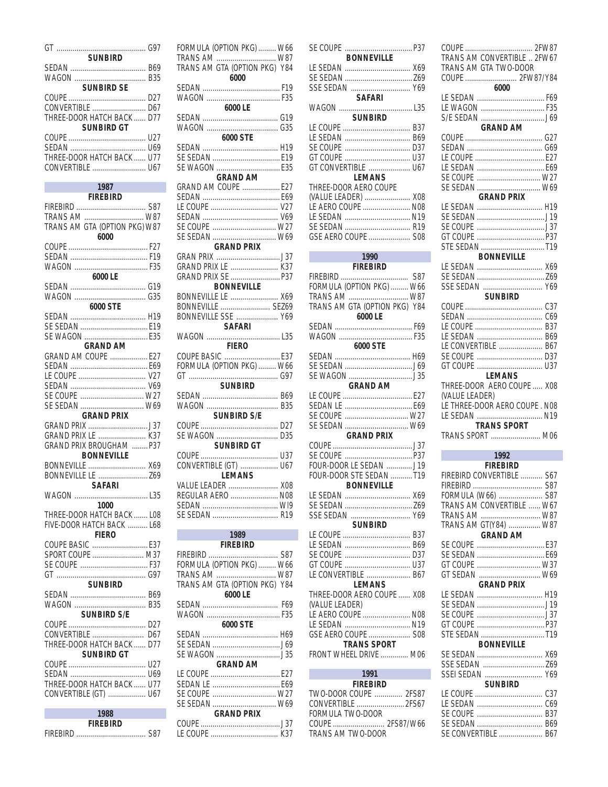| <b>SUNBIRD</b>             |  |
|----------------------------|--|
|                            |  |
|                            |  |
| <b>SUNBIRD SE</b>          |  |
|                            |  |
|                            |  |
| THREE-DOOR HATCH BACK  D77 |  |
| <b>SUNBIRD GT</b>          |  |
|                            |  |
|                            |  |
| THREE-DOOR HATCH BACK  U77 |  |
|                            |  |
|                            |  |

| $\sim$ 1987<br>$\mathcal{L}^{\text{max}}_{\text{max}}$ and $\mathcal{L}^{\text{max}}_{\text{max}}$ and $\mathcal{L}^{\text{max}}_{\text{max}}$ |  |  |  |  |
|------------------------------------------------------------------------------------------------------------------------------------------------|--|--|--|--|
| <b>FIREBIRD</b>                                                                                                                                |  |  |  |  |
|                                                                                                                                                |  |  |  |  |
| TRANS AM  W87                                                                                                                                  |  |  |  |  |
| TRANS AM GTA (OPTION PKG) W87                                                                                                                  |  |  |  |  |
|                                                                                                                                                |  |  |  |  |
| 6000                                                                                                                                           |  |  |  |  |
|                                                                                                                                                |  |  |  |  |
|                                                                                                                                                |  |  |  |  |
|                                                                                                                                                |  |  |  |  |
| 6000 LE                                                                                                                                        |  |  |  |  |
|                                                                                                                                                |  |  |  |  |
|                                                                                                                                                |  |  |  |  |
|                                                                                                                                                |  |  |  |  |
| 6000 STE                                                                                                                                       |  |  |  |  |
|                                                                                                                                                |  |  |  |  |
| SE SEDAN  E19                                                                                                                                  |  |  |  |  |
| SE WAGON  E35                                                                                                                                  |  |  |  |  |
| GRAND AM                                                                                                                                       |  |  |  |  |
| GRAND AM COUPE  E27                                                                                                                            |  |  |  |  |
|                                                                                                                                                |  |  |  |  |
|                                                                                                                                                |  |  |  |  |
|                                                                                                                                                |  |  |  |  |
|                                                                                                                                                |  |  |  |  |
| SE COUPE  W27                                                                                                                                  |  |  |  |  |
| SE SEDAN  W69                                                                                                                                  |  |  |  |  |
| <b>GRAND PRIX</b>                                                                                                                              |  |  |  |  |
|                                                                                                                                                |  |  |  |  |
|                                                                                                                                                |  |  |  |  |
| GRAND PRIX LE  K37                                                                                                                             |  |  |  |  |
| GRAND PRIX BROUGHAM  P37                                                                                                                       |  |  |  |  |
| <b>BONNEVILLE</b>                                                                                                                              |  |  |  |  |
| BONNEVILLE  X69                                                                                                                                |  |  |  |  |
| BONNEVILLE LE  Z69                                                                                                                             |  |  |  |  |
| <b>SAFARI</b>                                                                                                                                  |  |  |  |  |
|                                                                                                                                                |  |  |  |  |
|                                                                                                                                                |  |  |  |  |
| 1000                                                                                                                                           |  |  |  |  |
| THREE-DOOR HATCH BACK  LO8                                                                                                                     |  |  |  |  |
| FIVE-DOOR HATCH BACK  L68                                                                                                                      |  |  |  |  |
| FIFRO                                                                                                                                          |  |  |  |  |
| COUPE BASIC  E37                                                                                                                               |  |  |  |  |
| SPORT COUPE  M37                                                                                                                               |  |  |  |  |
|                                                                                                                                                |  |  |  |  |
|                                                                                                                                                |  |  |  |  |
|                                                                                                                                                |  |  |  |  |
| <b>SUNBIRD</b>                                                                                                                                 |  |  |  |  |
|                                                                                                                                                |  |  |  |  |
|                                                                                                                                                |  |  |  |  |
| SUNBIRD S/F                                                                                                                                    |  |  |  |  |
|                                                                                                                                                |  |  |  |  |
|                                                                                                                                                |  |  |  |  |
| CONVERTIBLE  D67                                                                                                                               |  |  |  |  |
| THREE-DOOR HATCH BACK  D77                                                                                                                     |  |  |  |  |
| <b>SUNBIRD GT</b>                                                                                                                              |  |  |  |  |
| U27                                                                                                                                            |  |  |  |  |
|                                                                                                                                                |  |  |  |  |
| THREE-DOOR HATCH BACK  U77                                                                                                                     |  |  |  |  |
| CONVERTIBLE (GT)  U67                                                                                                                          |  |  |  |  |
|                                                                                                                                                |  |  |  |  |
|                                                                                                                                                |  |  |  |  |

| 1988            |  |  |  |  |  |
|-----------------|--|--|--|--|--|
| <b>FIREBIRD</b> |  |  |  |  |  |
|                 |  |  |  |  |  |

| FORMULA (OPTION PKG)  W66                                                                                                                                                                                                                 |  |
|-------------------------------------------------------------------------------------------------------------------------------------------------------------------------------------------------------------------------------------------|--|
| TRANS AM  W87                                                                                                                                                                                                                             |  |
| TRANS AM GTA (OPTION PKG) Y84                                                                                                                                                                                                             |  |
|                                                                                                                                                                                                                                           |  |
|                                                                                                                                                                                                                                           |  |
|                                                                                                                                                                                                                                           |  |
| 6000 LE                                                                                                                                                                                                                                   |  |
|                                                                                                                                                                                                                                           |  |
| 6000 STE                                                                                                                                                                                                                                  |  |
|                                                                                                                                                                                                                                           |  |
| SE SEDAN  E19                                                                                                                                                                                                                             |  |
| SE WAGON  E35                                                                                                                                                                                                                             |  |
| <b>GRAND AM</b>                                                                                                                                                                                                                           |  |
| GRAND AM COUPE  E27                                                                                                                                                                                                                       |  |
|                                                                                                                                                                                                                                           |  |
|                                                                                                                                                                                                                                           |  |
| <u>USED NY ANDREASANA MARIA NO TENY NY TANIMBANY NY TITORIA NY TAN</u><br>SEDAN ANARAN'ING NY TAONA NY TAONA NY TAONA NY TAONA NY TAONA 2008.<br>JITORIA NY TAONA NY TAONA NY TAONA NY TAONA 2008 NY TAONA 2008. ILAY NY TAONA 2008 NY TA |  |
| SE COUPE  W27                                                                                                                                                                                                                             |  |
| SE SEDAN  W69                                                                                                                                                                                                                             |  |
| <b>GRAND PRIX</b>                                                                                                                                                                                                                         |  |
|                                                                                                                                                                                                                                           |  |
|                                                                                                                                                                                                                                           |  |
|                                                                                                                                                                                                                                           |  |
| <b>BONNEVILLE</b>                                                                                                                                                                                                                         |  |
| BONNEVILLE LE  X69                                                                                                                                                                                                                        |  |
|                                                                                                                                                                                                                                           |  |
| BONNEVILLE SSE  Y69                                                                                                                                                                                                                       |  |
|                                                                                                                                                                                                                                           |  |
|                                                                                                                                                                                                                                           |  |
| <b>FIERO</b>                                                                                                                                                                                                                              |  |
|                                                                                                                                                                                                                                           |  |
| FORMULA (OPTION PKG)  W66                                                                                                                                                                                                                 |  |
|                                                                                                                                                                                                                                           |  |
| <b>SUNBIRD</b>                                                                                                                                                                                                                            |  |
|                                                                                                                                                                                                                                           |  |
|                                                                                                                                                                                                                                           |  |
|                                                                                                                                                                                                                                           |  |
|                                                                                                                                                                                                                                           |  |
| SE WAGON  D35                                                                                                                                                                                                                             |  |
| <b>SUNBIRD GT</b>                                                                                                                                                                                                                         |  |
|                                                                                                                                                                                                                                           |  |
| CONVERTIBLE (GT)  U67                                                                                                                                                                                                                     |  |
| LEMANS                                                                                                                                                                                                                                    |  |
| VALUE LEADER  X08                                                                                                                                                                                                                         |  |
| REGULAR AERO  N08                                                                                                                                                                                                                         |  |
|                                                                                                                                                                                                                                           |  |
|                                                                                                                                                                                                                                           |  |
| 1989                                                                                                                                                                                                                                      |  |
| <b>FIREBIRD</b>                                                                                                                                                                                                                           |  |
|                                                                                                                                                                                                                                           |  |
|                                                                                                                                                                                                                                           |  |
| FORMULA (OPTION PKG)  W66<br>TRANS AM  W87                                                                                                                                                                                                |  |
| TRANS AM GTA (OPTION PKG) Y84                                                                                                                                                                                                             |  |
| 6000 LE                                                                                                                                                                                                                                   |  |
|                                                                                                                                                                                                                                           |  |
|                                                                                                                                                                                                                                           |  |
| 6000 STE                                                                                                                                                                                                                                  |  |
|                                                                                                                                                                                                                                           |  |
|                                                                                                                                                                                                                                           |  |
|                                                                                                                                                                                                                                           |  |

|                               | GT COUPE  U37                 |
|-------------------------------|-------------------------------|
|                               | GT CONVERTIBLE  U67           |
| <b>GRAND AM</b>               | <b>LEMANS</b>                 |
| GRAND AM COUPE  E27           | THREE-DOOR AERO COUPE         |
|                               |                               |
|                               | (VALUE LEADER)  X08           |
|                               | LE AERO COUPE  N08            |
|                               | LE SEDAN  N19                 |
| SE COUPE  W27                 | SE SEDAN  R19                 |
|                               |                               |
| SE SEDAN  W69                 | GSE AERO COUPE  S08           |
| <b>GRAND PRIX</b>             |                               |
|                               | 1990                          |
| GRAND PRIX LE  K37            | <b>FIREBIRD</b>               |
| GRAND PRIX SE  P37            |                               |
|                               |                               |
| <b>BONNEVILLE</b>             | FORMULA (OPTION PKG)  W66     |
| BONNEVILLE LE  X69            | TRANS AM  W87                 |
| BONNEVILLE  SEZ69             | TRANS AM GTA (OPTION PKG) Y84 |
| BONNEVILLE SSE  Y69           | 6000 LE                       |
| <b>SAFARI</b>                 |                               |
|                               |                               |
|                               |                               |
| <b>FIERO</b>                  | 6000 STE                      |
|                               |                               |
| FORMULA (OPTION PKG)  W66     |                               |
|                               |                               |
|                               |                               |
| <b>SUNBIRD</b>                | <b>GRAND AM</b>               |
|                               |                               |
|                               |                               |
| <b>SUNBIRD S/E</b>            | SE COUPE  W27                 |
|                               |                               |
|                               | SE SEDAN  W69                 |
|                               | <b>GRAND PRIX</b>             |
| <b>SUNBIRD GT</b>             |                               |
|                               |                               |
|                               |                               |
|                               |                               |
| CONVERTIBLE (GT)  U67         | FOUR-DOOR LE SEDAN  J19       |
| <b>LEMANS</b>                 | FOUR-DOOR STE SEDAN T19       |
| VALUE LEADER  X08             | <b>BONNEVILLE</b>             |
|                               |                               |
| REGULAR AERO  N08             | LE SEDAN  X69                 |
|                               |                               |
|                               | SSE SEDAN  Y69                |
|                               | <b>SUNBIRD</b>                |
| 1989                          |                               |
|                               |                               |
| <b>FIREBIRD</b>               |                               |
|                               |                               |
| FORMULA (OPTION PKG)  W66     |                               |
| TRANS AM  W87                 | LE CONVERTIBLE  B67           |
|                               | <b>LEMANS</b>                 |
| TRANS AM GTA (OPTION PKG) Y84 | THREE-DOOR AERO COUPE  XO8    |
| 6000 LE                       |                               |
|                               | (VALUE LEADER)                |
|                               | LE AERO COUPE  N08            |
| 6000 STE                      | LE SEDAN  N19                 |
|                               | GSE AERO COUPE  S08           |
|                               |                               |
|                               | <b>TRANS SPORT</b>            |
|                               | FRONT WHEEL DRIVE  M06        |
| <b>GRAND AM</b>               |                               |
|                               | 1991                          |
|                               | <b>FIREBIRD</b>               |
|                               |                               |
| SE COUPE  W27                 | TWO-DOOR COUPE  2FS87         |
| SE SEDAN  W69                 | CONVERTIBLE  2FS67            |
| <b>GRAND PRIX</b>             | FORMULA TWO-DOOR              |
|                               |                               |
|                               | TRANS AM TWO-DOOR             |
|                               |                               |
|                               |                               |
|                               |                               |
|                               |                               |

| <b>BONNEVILLE</b><br>LE SEDAN  X69           |  |
|----------------------------------------------|--|
|                                              |  |
|                                              |  |
| SSE SEDAN  Y69<br><b>SAFARI</b>              |  |
|                                              |  |
| <b>SUNBIRD</b>                               |  |
|                                              |  |
|                                              |  |
| SE COUPE                                     |  |
|                                              |  |
| GT CONVERTIBLE  U67                          |  |
| <b>LEMANS</b>                                |  |
| THREE-DOOR AERO COUPE                        |  |
| (VALUE LEADER)  X08                          |  |
| LE AERO COUPE  N08                           |  |
| LE SEDAN  N19                                |  |
| SE SEDAN  R19                                |  |
|                                              |  |
|                                              |  |
| $\sim$ 1990                                  |  |
| FIREBIRD                                     |  |
|                                              |  |
| FORMULA (OPTION PKG)  W66                    |  |
| TRANS AM  W87                                |  |
| TRANS AM GTA (OPTION PKG) Y84                |  |
| 6000 LE                                      |  |
|                                              |  |
|                                              |  |
| 6000 STE                                     |  |
|                                              |  |
|                                              |  |
|                                              |  |
| <b>GRAND AM</b>                              |  |
|                                              |  |
|                                              |  |
|                                              |  |
|                                              |  |
| SE COUPE                                     |  |
| SE SEDAN  W69                                |  |
| <b>GRAND PRIX</b>                            |  |
|                                              |  |
|                                              |  |
| FOUR-DOOR LE SEDAN J19                       |  |
| FOUR-DOOR STE SEDAN T19<br><b>BONNEVILLE</b> |  |
|                                              |  |
| LE SEDAN  X69                                |  |
|                                              |  |
| SSE SEDAN  Y69<br><b>SUNBIRD</b>             |  |
|                                              |  |
|                                              |  |
|                                              |  |
| SE COUPE                                     |  |
| <b>GT COUPE</b>                              |  |
| LE CONVERTIBLE  B67                          |  |
| <b>LEMANS</b>                                |  |
| THREE-DOOR AERO COUPE  X08                   |  |
| (VALUE LEADER)                               |  |
| LE AERO COUPE  N08                           |  |
| LE SEDAN  N19                                |  |
| GSE AERO COUPE  S08                          |  |
| <b>TRANS SPORT</b>                           |  |
| FRONT WHEEL DRIVE  M06                       |  |
| -- 1991                                      |  |
| <b>FIREBIRD</b>                              |  |
| TWO-DOOR COUPE  2FS87                        |  |

| TRANS AM CONVERTIBLE  2FW67<br>TRANS AM GTA TWO-DOOR        |  |  |  |  |
|-------------------------------------------------------------|--|--|--|--|
| COUPE  2FW87/Y84<br>6000                                    |  |  |  |  |
|                                                             |  |  |  |  |
|                                                             |  |  |  |  |
| LE WAGON  F35                                               |  |  |  |  |
| <b>GRAND AM</b>                                             |  |  |  |  |
|                                                             |  |  |  |  |
|                                                             |  |  |  |  |
|                                                             |  |  |  |  |
|                                                             |  |  |  |  |
| SE COUPE  W27                                               |  |  |  |  |
| SE SEDAN  W69<br><b>GRAND PRIX</b>                          |  |  |  |  |
| LE SEDAN  H19                                               |  |  |  |  |
|                                                             |  |  |  |  |
|                                                             |  |  |  |  |
|                                                             |  |  |  |  |
| STE SEDAN T19                                               |  |  |  |  |
| <b>BONNEVILLE</b>                                           |  |  |  |  |
| LE SEDAN  X69                                               |  |  |  |  |
|                                                             |  |  |  |  |
| SSE SEDAN  Y69                                              |  |  |  |  |
| <b>SUNBIRD</b>                                              |  |  |  |  |
|                                                             |  |  |  |  |
|                                                             |  |  |  |  |
|                                                             |  |  |  |  |
|                                                             |  |  |  |  |
| LE CONVERTIBLE  B67                                         |  |  |  |  |
|                                                             |  |  |  |  |
|                                                             |  |  |  |  |
| LEMANS                                                      |  |  |  |  |
|                                                             |  |  |  |  |
| THREE-DOOR AERO COUPE  X08                                  |  |  |  |  |
| (VALUE LEADER)                                              |  |  |  |  |
| LE THREE-DOOR AERO COUPE. NO8                               |  |  |  |  |
| LE SEDAN  N19                                               |  |  |  |  |
| <b>TRANS SPORT</b>                                          |  |  |  |  |
| TRANS SPORT  M06                                            |  |  |  |  |
| $\begin{array}{c} \hline \text{1992} \\ \hline \end{array}$ |  |  |  |  |
| FIREBIRD                                                    |  |  |  |  |
| FIREBIRD CONVERTIBLE  S67                                   |  |  |  |  |
| <b>S87</b>                                                  |  |  |  |  |
|                                                             |  |  |  |  |
| FORMULA (W66)  S87<br>TRANS AM CONVERTIBLE  W67             |  |  |  |  |
| TRANS AM  W87                                               |  |  |  |  |
| TRANS AM GT(Y84)  W87                                       |  |  |  |  |
| <b>GRAND AM</b>                                             |  |  |  |  |
|                                                             |  |  |  |  |
|                                                             |  |  |  |  |
| GT COUPE  W37                                               |  |  |  |  |
| GT SEDAN  W69                                               |  |  |  |  |
| <b>GRAND PRIX</b>                                           |  |  |  |  |
| LE SEDAN  H19                                               |  |  |  |  |
|                                                             |  |  |  |  |
|                                                             |  |  |  |  |
|                                                             |  |  |  |  |
| <b>BONNEVILLE</b>                                           |  |  |  |  |
|                                                             |  |  |  |  |
|                                                             |  |  |  |  |
| SSEI SEDAN  Y69                                             |  |  |  |  |
| <b>SUNBIRD</b>                                              |  |  |  |  |

LE SEDAN ................................. C69 SE COUPE ................................. B37 SE SEDAN ................................. B69 SE CONVERTIBLE ...................... B67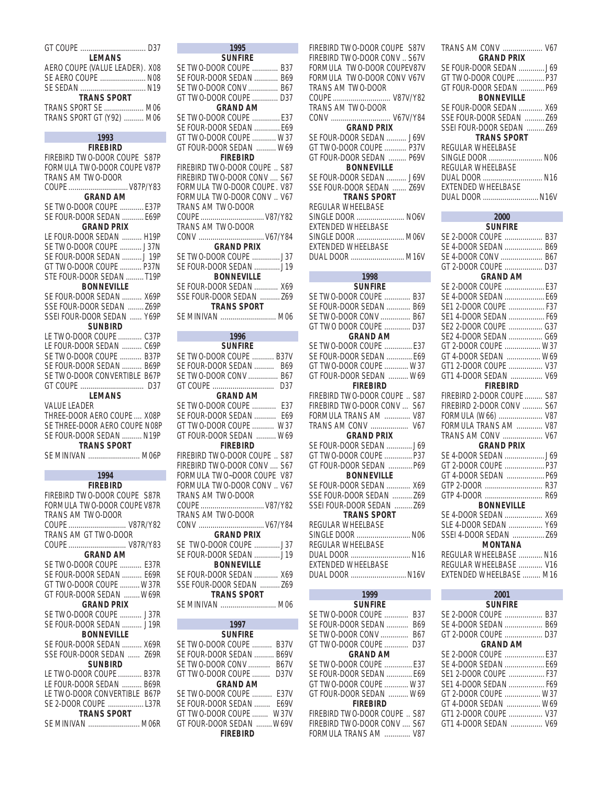| <b>LEMANS</b><br>AERO COUPE (VALUE LEADER). X08<br>SE AERO COUPE  N08<br>SE SEDAN  N19<br><b>TRANS SPORT</b><br>TRANS SPORT SE  M06<br>TRANS SPORT GT (Y92)  M06 |
|------------------------------------------------------------------------------------------------------------------------------------------------------------------|
| 1993                                                                                                                                                             |
| FIREBIRD<br>FIREBIRD TWO-DOOR COUPE S87P<br>FORMULA TWO-DOOR COUPE V87P<br>TRANS AM TWO-DOOR<br>COUPE  V87P/Y83                                                  |
| <b>GRAND AM</b>                                                                                                                                                  |
| SE TWO-DOOR COUPE  E37P<br>SE FOUR-DOOR SEDAN  E69P<br><b>GRAND PRIX</b>                                                                                         |
| LE FOUR-DOOR SEDAN  H19P                                                                                                                                         |
| SE TWO-DOOR COUPE  J37N                                                                                                                                          |
| SE FOUR-DOOR SEDAN  J 19P                                                                                                                                        |
| GT TWO-DOOR COUPE  P37N                                                                                                                                          |
| STE FOUR-DOOR SEDAN  T19P                                                                                                                                        |
| BONNEVILLE                                                                                                                                                       |
| SE FOUR-DOOR SEDAN  X69P                                                                                                                                         |
| SSE FOUR-DOOR SEDAN  Z69P                                                                                                                                        |
| SSEI FOUR-DOOR SEDAN  Y69P                                                                                                                                       |
| SUNBIRD                                                                                                                                                          |
| LE TWO-DOOR COUPE  C37P                                                                                                                                          |
| LE FOUR-DOOR SEDAN  C69P                                                                                                                                         |
| SE TWO-DOOR COUPE  B37P                                                                                                                                          |
| SE FOUR-DOOR SEDAN  B69P                                                                                                                                         |
| SE TWO-DOOR CONVERTIBLE B67P                                                                                                                                     |
| <b>LEMANS</b>                                                                                                                                                    |
| <b>VALUE LEADER</b>                                                                                                                                              |
| THREE-DOOR AERO COUPE  X08P                                                                                                                                      |
| SE THREE-DOOR AERO COUPE N08P                                                                                                                                    |
| SE FOUR-DOOR SEDAN  N19P                                                                                                                                         |
| <b>TRANS SPORT</b>                                                                                                                                               |
| SE MINIVAN  M06P                                                                                                                                                 |
| 1994                                                                                                                                                             |
| <b>FIREBIRD</b>                                                                                                                                                  |
| FIREBIRD TWO-DOOR COUPE S87R                                                                                                                                     |
| FORMULA TWO-DOOR COUPE V87R                                                                                                                                      |
| TRANS AM TWO-DOOR                                                                                                                                                |
| COUPE  V87R/Y82                                                                                                                                                  |
| TRANS AM GT TWO-DOOR                                                                                                                                             |
| COUPE  V87R/Y83                                                                                                                                                  |
| <b>GRAND AM</b>                                                                                                                                                  |

SE TWO-DOOR COUPE ........... E37R SE FOUR-DOOR SEDAN .......... E69R GT TWO-DOOR COUPE .......... W37R GT FOUR-DOOR SEDAN ........ W69R **GRAND PRIX** SE TWO-DOOR COUPE ........... J37R SE FOUR-DOOR SEDAN .......... J19R **BONNEVILLE** SE FOUR-DOOR SEDAN .......... X69R SSE FOUR-DOOR SEDAN ...... Z69R **SUNBIRD** LE TWO-DOOR COUPE ............ B37R LE FOUR-DOOR SEDAN .......... B69R LE TWO-DOOR CONVERTIBLE B67P SE 2-DOOR COUPE .................. L37R **TRANS SPORT** SE MINIVAN .......................... M06R

| GT FOUR-DOOR SE |  |       |  |  |
|-----------------|--|-------|--|--|
|                 |  | FIRFF |  |  |

| $1995$ and $1995$ and $1995$ and $1995$ and $1995$ and $1995$ and $1995$ and $1995$ and $1995$ and $1995$ and $1995$ and $1995$ and $1995$ and $1995$ and $1995$ and $1995$ and $1995$ and $1995$ and $1995$ and $1995$ and |
|-----------------------------------------------------------------------------------------------------------------------------------------------------------------------------------------------------------------------------|
| <b>SUNFIRE</b>                                                                                                                                                                                                              |
| SE TWO-DOOR COUPE  B37                                                                                                                                                                                                      |
| SE FOUR-DOOR SEDAN  B69                                                                                                                                                                                                     |
| SE TWO-DOOR CONV  B67                                                                                                                                                                                                       |
| GT TWO-DOOR COUPE  D37                                                                                                                                                                                                      |
| <b>GRAND AM</b>                                                                                                                                                                                                             |
| SE TWO-DOOR COUPE  E37                                                                                                                                                                                                      |
| SE FOUR-DOOR SEDAN  E69                                                                                                                                                                                                     |
| GT TWO-DOOR COUPE  W37                                                                                                                                                                                                      |
| GT FOUR-DOOR SEDAN  W69                                                                                                                                                                                                     |
| <b>FIREBIRD</b>                                                                                                                                                                                                             |
| FIREBIRD TWO-DOOR COUPE  S87                                                                                                                                                                                                |
| FIREBIRD TWO-DOOR CONV  S67                                                                                                                                                                                                 |
| FORMULA TWO-DOOR COUPE. V87                                                                                                                                                                                                 |
| FORMULA TWO-DOOR CONV  V67                                                                                                                                                                                                  |
| TRANS AM TWO-DOOR                                                                                                                                                                                                           |
|                                                                                                                                                                                                                             |
|                                                                                                                                                                                                                             |
| TRANS AM TWO-DOOR                                                                                                                                                                                                           |
| CONV  V67/Y84                                                                                                                                                                                                               |
| <b>GRAND PRIX</b>                                                                                                                                                                                                           |
| SE TWO-DOOR COUPE  J37                                                                                                                                                                                                      |
| SE FOUR-DOOR SEDAN  J19                                                                                                                                                                                                     |
| BONNEVILLE                                                                                                                                                                                                                  |
| SE FOUR-DOOR SEDAN  X69                                                                                                                                                                                                     |
| SSE FOUR-DOOR SEDAN  Z69                                                                                                                                                                                                    |
| <b>TRANS SPORT</b>                                                                                                                                                                                                          |
| SE MINIVAN  M06                                                                                                                                                                                                             |
|                                                                                                                                                                                                                             |
|                                                                                                                                                                                                                             |
| 1996                                                                                                                                                                                                                        |
| SUNFIRE                                                                                                                                                                                                                     |
| SE TWO-DOOR COUPE  B37V                                                                                                                                                                                                     |
| SE FOUR-DOOR SEDAN  B69                                                                                                                                                                                                     |
| SE TWO-DOOR CONV  B67                                                                                                                                                                                                       |
| GT COUPE  D37                                                                                                                                                                                                               |
| GRAND AM                                                                                                                                                                                                                    |
| SE TWO-DOOR COUPE  E37                                                                                                                                                                                                      |
| SE FOUR-DOOR SEDAN  E69                                                                                                                                                                                                     |
| GT TWO-DOOR COUPE  W37                                                                                                                                                                                                      |
| GT FOUR-DOOR SEDAN  W69                                                                                                                                                                                                     |
| <b>FIREBIRD</b>                                                                                                                                                                                                             |
| FIREBIRD TWO-DOOR COUPE  S87                                                                                                                                                                                                |
|                                                                                                                                                                                                                             |
| FIREBIRD TWO-DOOR CONV  S67                                                                                                                                                                                                 |
|                                                                                                                                                                                                                             |
| FORMULA TWO~DOOR COUPE V87<br>FORMULA TWO-DOOR CONV  V67                                                                                                                                                                    |
| TRANS AM TWO-DOOR                                                                                                                                                                                                           |
|                                                                                                                                                                                                                             |
| TRANS AM TWO-DOOR                                                                                                                                                                                                           |
|                                                                                                                                                                                                                             |
| <b>GRAND PRIX</b>                                                                                                                                                                                                           |
| SE TWO-DOOR COUPE  J37                                                                                                                                                                                                      |
| SE FOUR-DOOR SEDAN  J19                                                                                                                                                                                                     |
| <b>BONNEVILLE</b>                                                                                                                                                                                                           |
| SE FOUR-DOOR SEDAN  X69                                                                                                                                                                                                     |
| SSE FOUR-DOOR SEDAN  Z69                                                                                                                                                                                                    |
| <b>TRANS SPORT</b>                                                                                                                                                                                                          |
| SE MINIVAN  M06                                                                                                                                                                                                             |

F

| GT FOUR-DOOR SEDAN  W69      |                 |
|------------------------------|-----------------|
| <b>FIREBIRD</b>              | SE <sub>F</sub> |
| FIREBIRD TWO-DOOR COUPE  S87 | GT <sub>T</sub> |
| FIREBIRD TWO-DOOR CONV  S67  | GT FI           |
| FORMULA TWO~DOOR COUPE V87   |                 |
| FORMULA TWO-DOOR CONV. V67   | SE <sub>F</sub> |
| TRANS AM TWO-DOOR            | <b>SSE</b>      |
| COUPE  V87/Y82               | <b>SSEI</b>     |
| TRANS AM TWO-DOOR            |                 |
|                              | REGI            |
| <b>GRAND PRIX</b>            | <b>SING</b>     |
| SE TWO-DOOR COUPE  J37       | RFGI            |
| SE FOUR-DOOR SEDAN  J19      | <b>DUA</b>      |
| <b>BONNEVILLE</b>            | <b>EXTE</b>     |
| SE FOUR-DOOR SEDAN  X69      | DUA             |
| SSE FOUR-DOOR SEDAN  Z69     |                 |
| <b>TRANS SPORT</b>           |                 |
| SE MINIVAN  M06              |                 |
|                              | SE T            |
| 1997                         | SE <sub>F</sub> |
| <b>SUNFIRE</b>               | <b>SET</b>      |
| SE TWO-DOOR COUPE  B37V      | <b>GTT</b>      |
| SE FOUR-DOOR SEDAN  B69V     |                 |
| SE TWO-DOOR CONV B67V        | <b>SET</b>      |
| GT TWO-DOOR COUPE<br>D37V    | SE FO           |
| <b>GRAND AM</b>              | <b>GTT</b>      |
| SE TWO-DOOR COUPE  E37V      | GT <sub>F</sub> |
| SE FOUR-DOOR SEDAN  E69V     |                 |
| GT TWO-DOOR COUPE  W37V      | <b>FIREI</b>    |
| GT FOUR-DOOR SEDAN  W69V     | <b>FIREI</b>    |
| <b>FIREBIRD</b>              | <b>FORM</b>     |
|                              |                 |
|                              |                 |

| FIREBIRD TWO-DOOR CONV S67V                              |
|----------------------------------------------------------|
| FORMULA TWO-DOOR COUPEV87V<br>FORMULA TWO-DOOR CONV V67V |
|                                                          |
| TRANS AM TWO-DOOR<br>COUPE  V87V/Y82                     |
| TRANS AM TWO-DOOR                                        |
| CONV  V67V/Y84                                           |
| <b>GRAND PRIX</b>                                        |
| SE FOUR-DOOR SEDAN  J69V                                 |
| GT TWO-DOOR COUPE  P37V                                  |
| GT FOUR-DOOR SEDAN  P69V                                 |
| BONNEVILLE                                               |
| SE FOUR-DOOR SEDAN  J69V                                 |
| SSE FOUR-DOOR SEDAN  Z69V<br><b>TRANS SPORT</b>          |
| REGULAR WHEELBASE                                        |
| SINGLE DOOR  NO6V                                        |
| <b>EXTENDED WHEELBASE</b>                                |
| SINGLE DOOR  M06V                                        |
| EXTENDED WHEELBASE                                       |
| DUAL DOOR  M16V                                          |
| 1998                                                     |
| <b>SUNFIRE</b>                                           |
| SE TWO-DOOR COUPE  B37                                   |
| SE FOUR-DOOR SEDAN  B69                                  |
| SE TWO-DOOR CONV  B67                                    |
| GT TWO DOOR COUPE  D37                                   |
| <b>GRAND AM</b>                                          |
| SE TWO-DOOR COUPE  E37<br>SE FOUR-DOOR SEDAN  E69        |
| GT TWO-DOOR COUPE  W37                                   |
| GT FOUR-DOOR SEDAN  W69                                  |
| <b>FIREBIRD</b>                                          |
|                                                          |
| FIREBIRD TWO-DOOR COUPE  S87                             |
| FIREBIRD TWO-DOOR CONV<br>S67                            |
| FORMULA TRANS AM<br>V87                                  |
| TRANS AM CONV  V67                                       |
| <b>GRAND PRIX</b>                                        |
| SE FOUR-DOOR SEDAN  J69                                  |
| GT TWO-DOOR COUPE  P37                                   |
| GT FOUR-DOOR SEDAN  P69                                  |
| <b>BONNEVILLE</b>                                        |
| SE FOUR-DOOR SEDAN<br>X69                                |
| SSE FOUR-DOOR SEDAN  Z69<br>SSEI FOUR-DOOR SEDAN  Z69    |
| <b>TRANS SPORT</b>                                       |
| REGULAR WHEELBASE                                        |
| SINGLE DOOR  N06                                         |
| REGULAR WHEELBASE                                        |
| DUAL DOOR  N16                                           |
| <b>EXTENDED WHEELBASE</b>                                |
| DUAL DOOR  N16V                                          |
| 1999                                                     |
| Sunfire<br>SE TWO-DOOR COUPE  B37                        |

| <b>SUNFIRE</b>                  |
|---------------------------------|
| <b>B37</b><br>SE TWO-DOOR COUPE |
| SE FOUR-DOOR SEDAN<br>B69       |
| SE TWO-DOOR CONV<br><b>B67</b>  |
| GT TWO-DOOR COUPE<br>D37        |
| <b>GRAND AM</b>                 |
| SE TWO-DOOR COUPE F37           |
| SE FOUR-DOOR SEDAN  E69         |
| GT TWO-DOOR COUPE  W37          |
| GT FOUR-DOOR SEDAN  W69         |
| <b>FIREBIRD</b>                 |
| FIREBIRD TWO-DOOR COUPE  S87    |
| FIREBIRD TWO-DOOR CONV , S67    |
| FORMULA TRANS AM  V87           |

| TRANS AM CONV  V67<br><b>GRAND PRIX</b> |
|-----------------------------------------|
|                                         |
| GT TWO-DOOR COUPE  P37                  |
| GT FOUR-DOOR SEDAN  P69                 |
| <b>BONNEVILLE</b>                       |
| SE FOUR-DOOR SEDAN WAS                  |
| SSE FOUR-DOOR SEDAN  769                |
| SSEI FOUR-DOOR SEDAN  769               |
| <b>TRANS SPORT</b>                      |
| REGULAR WHEELBASE                       |
| SINGLE DOOR  NO6                        |
| REGULAR WHEELBASE                       |
| DUAL DOOR  N16                          |
| <b>EXTENDED WHEELBASE</b>               |
| DUAL DOOR  N16V                         |

| 2000                       |  |
|----------------------------|--|
| SUNFIRE                    |  |
| SE 2-DOOR COUPE  B37       |  |
| SE 4-DOOR SEDAN  B69       |  |
| SE 4-DOOR CONV  B67        |  |
| GT 2-DOOR COUPE  D37       |  |
| <b>GRAND AM</b>            |  |
| SE 2-DOOR COUPE  E37       |  |
| SE 4-DOOR SEDAN  E69       |  |
| SE1 2-DOOR COUPE  F37      |  |
| SE1 4-DOOR SEDAN  F69      |  |
| SE2 2-DOOR COUPE  G37      |  |
| SE2 4-DOOR SEDAN  G69      |  |
| GT 2-DOOR COUPE  W37       |  |
| GT 4-DOOR SEDAN  W69       |  |
| GT1 2-DOOR COUPE  V37      |  |
| GT1 4-DOOR SEDAN  V69      |  |
| <b>FIREBIRD</b>            |  |
| FIREBIRD 2-DOOR COUPE  S87 |  |
| FIREBIRD 2-DOOR CONV  S67  |  |
| FORMULA (W66)  V87         |  |
| FORMULA TRANS AM  V87      |  |
| TRANS AM CONV  V67         |  |
| <b>GRAND PRIX</b>          |  |
| SE 4-DOOR SEDAN  J69       |  |
| GT 2-DOOR COUPE  P37       |  |
| GT 4-DOOR SEDAN  P69       |  |
| GTP 2-DOOR  R37            |  |
| GTP 4-DOOR  R69            |  |
| <b>BONNEVILLE</b>          |  |
| SE 4-DOOR SEDAN  X69       |  |
| SLE 4-DOOR SEDAN  Y69      |  |
| SSEI 4-DOOR SEDAN  Z69     |  |
| <b>MONTANA</b>             |  |
| REGULAR WHEELBASE  N16     |  |
| REGULAR WHEELBASE  V16     |  |
| EXTENDED WHEELBASE  M16    |  |
|                            |  |
| 2001                       |  |

| 2001                  |  |
|-----------------------|--|
| <b>SUNFIRE</b>        |  |
| SE 2-DOOR COUPE  B37  |  |
| SE 4-DOOR SEDAN  B69  |  |
| GT 2-DOOR COUPE  D37  |  |
| <b>GRAND AM</b>       |  |
|                       |  |
|                       |  |
|                       |  |
| SE1 4-DOOR SEDAN  F69 |  |
| GT 2-DOOR COUPE  W37  |  |
| GT 4-DOOR SEDAN  W69  |  |
| GT1 2-DOOR COUPE  V37 |  |
|                       |  |
|                       |  |